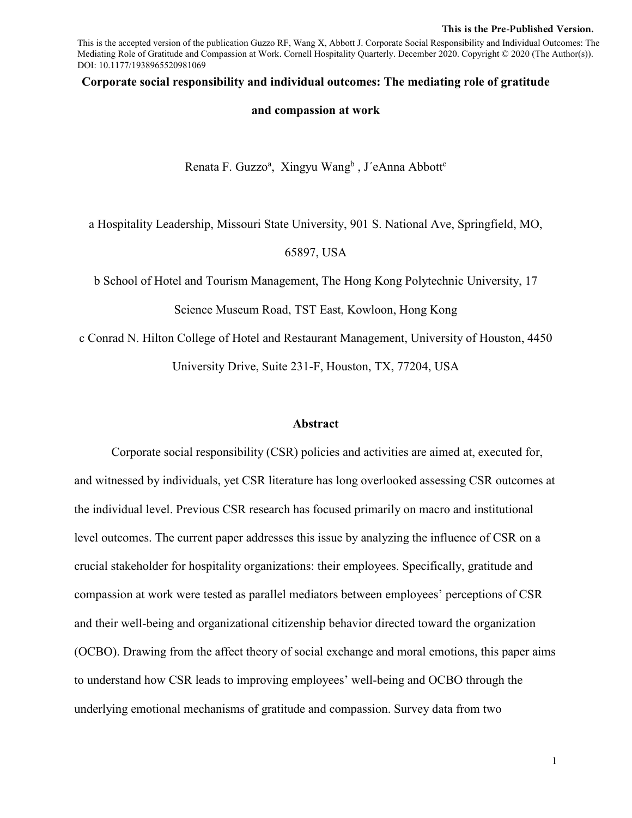#### **This is the Pre-Published Version.**

This is the accepted version of the publication Guzzo RF, Wang X, Abbott J. Corporate Social Responsibility and Individual Outcomes: The Mediating Role of Gratitude and Compassion at Work. Cornell Hospitality Quarterly. December 2020. Copyright © 2020 (The Author(s)). DOI: 10.1177/1938965520981069

#### **Corporate social responsibility and individual outcomes: The mediating role of gratitude**

#### **and compassion at work**

Renata F. Guzzo<sup>a</sup>, Xingyu Wang<sup>b</sup>, J'eAnna Abbott<sup>c</sup>

a Hospitality Leadership, Missouri State University, 901 S. National Ave, Springfield, MO,

65897, USA

b School of Hotel and Tourism Management, The Hong Kong Polytechnic University, 17

Science Museum Road, TST East, Kowloon, Hong Kong

c Conrad N. Hilton College of Hotel and Restaurant Management, University of Houston, 4450 University Drive, Suite 231-F, Houston, TX, 77204, USA

#### **Abstract**

Corporate social responsibility (CSR) policies and activities are aimed at, executed for, and witnessed by individuals, yet CSR literature has long overlooked assessing CSR outcomes at the individual level. Previous CSR research has focused primarily on macro and institutional level outcomes. The current paper addresses this issue by analyzing the influence of CSR on a crucial stakeholder for hospitality organizations: their employees. Specifically, gratitude and compassion at work were tested as parallel mediators between employees' perceptions of CSR and their well-being and organizational citizenship behavior directed toward the organization (OCBO). Drawing from the affect theory of social exchange and moral emotions, this paper aims to understand how CSR leads to improving employees' well-being and OCBO through the underlying emotional mechanisms of gratitude and compassion. Survey data from two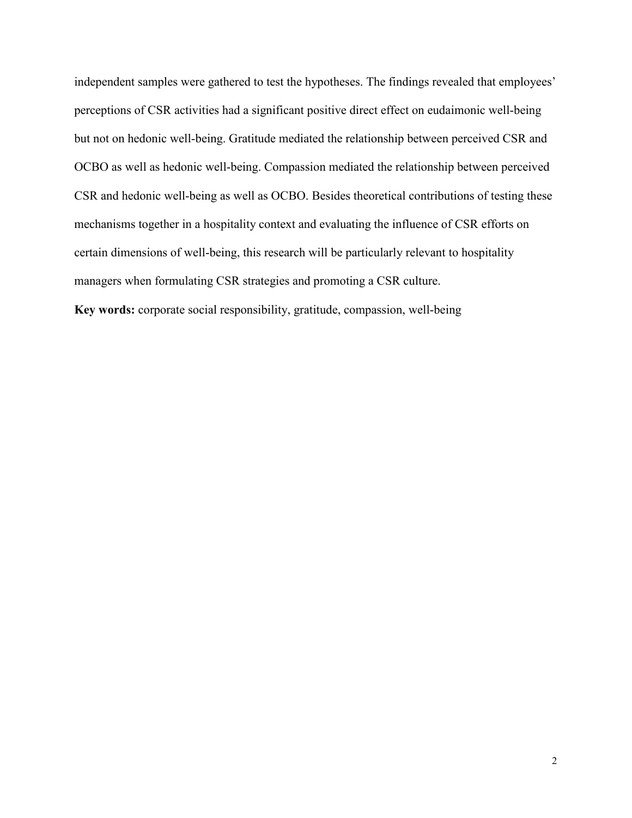independent samples were gathered to test the hypotheses. The findings revealed that employees' perceptions of CSR activities had a significant positive direct effect on eudaimonic well-being but not on hedonic well-being. Gratitude mediated the relationship between perceived CSR and OCBO as well as hedonic well-being. Compassion mediated the relationship between perceived CSR and hedonic well-being as well as OCBO. Besides theoretical contributions of testing these mechanisms together in a hospitality context and evaluating the influence of CSR efforts on certain dimensions of well-being, this research will be particularly relevant to hospitality managers when formulating CSR strategies and promoting a CSR culture. **Key words:** corporate social responsibility, gratitude, compassion, well-being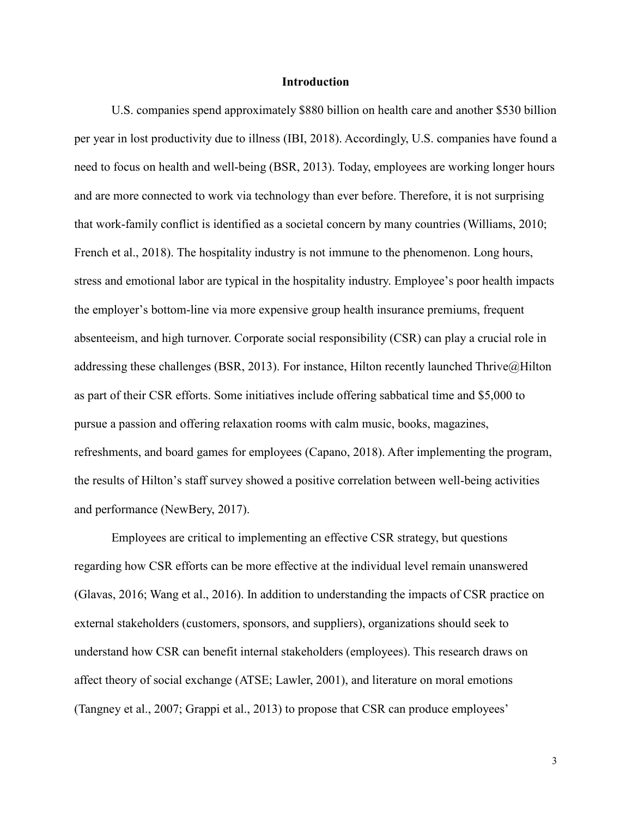#### **Introduction**

U.S. companies spend approximately \$880 billion on health care and another \$530 billion per year in lost productivity due to illness (IBI, 2018). Accordingly, U.S. companies have found a need to focus on health and well-being (BSR, 2013). Today, employees are working longer hours and are more connected to work via technology than ever before. Therefore, it is not surprising that work-family conflict is identified as a societal concern by many countries (Williams, 2010; French et al., 2018). The hospitality industry is not immune to the phenomenon. Long hours, stress and emotional labor are typical in the hospitality industry. Employee's poor health impacts the employer's bottom-line via more expensive group health insurance premiums, frequent absenteeism, and high turnover. Corporate social responsibility (CSR) can play a crucial role in addressing these challenges (BSR, 2013). For instance, Hilton recently launched Thrive@Hilton as part of their CSR efforts. Some initiatives include offering sabbatical time and \$5,000 to pursue a passion and offering relaxation rooms with calm music, books, magazines, refreshments, and board games for employees (Capano, 2018). After implementing the program, the results of Hilton's staff survey showed a positive correlation between well-being activities and performance (NewBery, 2017).

Employees are critical to implementing an effective CSR strategy, but questions regarding how CSR efforts can be more effective at the individual level remain unanswered (Glavas, 2016; Wang et al., 2016). In addition to understanding the impacts of CSR practice on external stakeholders (customers, sponsors, and suppliers), organizations should seek to understand how CSR can benefit internal stakeholders (employees). This research draws on affect theory of social exchange (ATSE; Lawler, 2001), and literature on moral emotions (Tangney et al., 2007; Grappi et al., 2013) to propose that CSR can produce employees'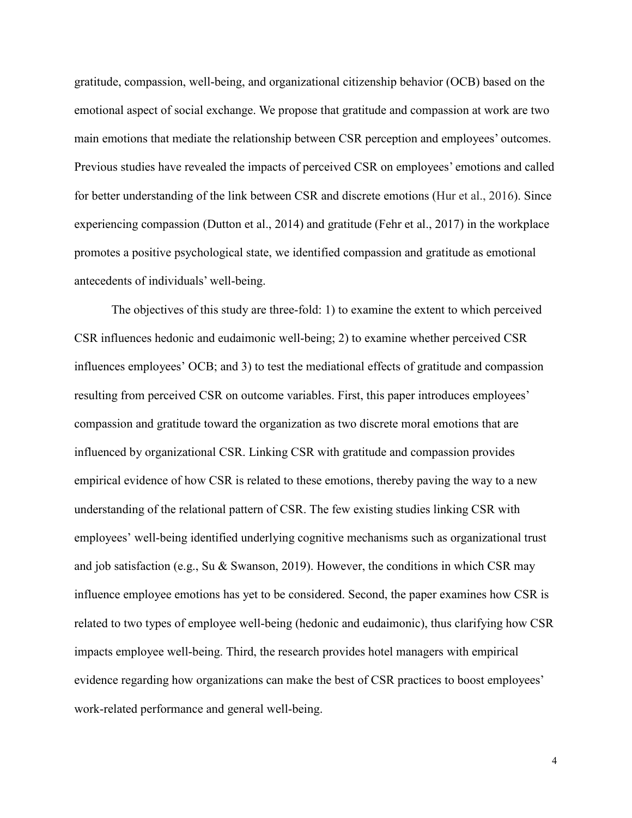gratitude, compassion, well-being, and organizational citizenship behavior (OCB) based on the emotional aspect of social exchange. We propose that gratitude and compassion at work are two main emotions that mediate the relationship between CSR perception and employees' outcomes. Previous studies have revealed the impacts of perceived CSR on employees' emotions and called for better understanding of the link between CSR and discrete emotions (Hur et al., 2016). Since experiencing compassion (Dutton et al., 2014) and gratitude (Fehr et al., 2017) in the workplace promotes a positive psychological state, we identified compassion and gratitude as emotional antecedents of individuals' well-being.

The objectives of this study are three-fold: 1) to examine the extent to which perceived CSR influences hedonic and eudaimonic well-being; 2) to examine whether perceived CSR influences employees' OCB; and 3) to test the mediational effects of gratitude and compassion resulting from perceived CSR on outcome variables. First, this paper introduces employees' compassion and gratitude toward the organization as two discrete moral emotions that are influenced by organizational CSR. Linking CSR with gratitude and compassion provides empirical evidence of how CSR is related to these emotions, thereby paving the way to a new understanding of the relational pattern of CSR. The few existing studies linking CSR with employees' well-being identified underlying cognitive mechanisms such as organizational trust and job satisfaction (e.g., Su & Swanson, 2019). However, the conditions in which CSR may influence employee emotions has yet to be considered. Second, the paper examines how CSR is related to two types of employee well-being (hedonic and eudaimonic), thus clarifying how CSR impacts employee well-being. Third, the research provides hotel managers with empirical evidence regarding how organizations can make the best of CSR practices to boost employees' work-related performance and general well-being.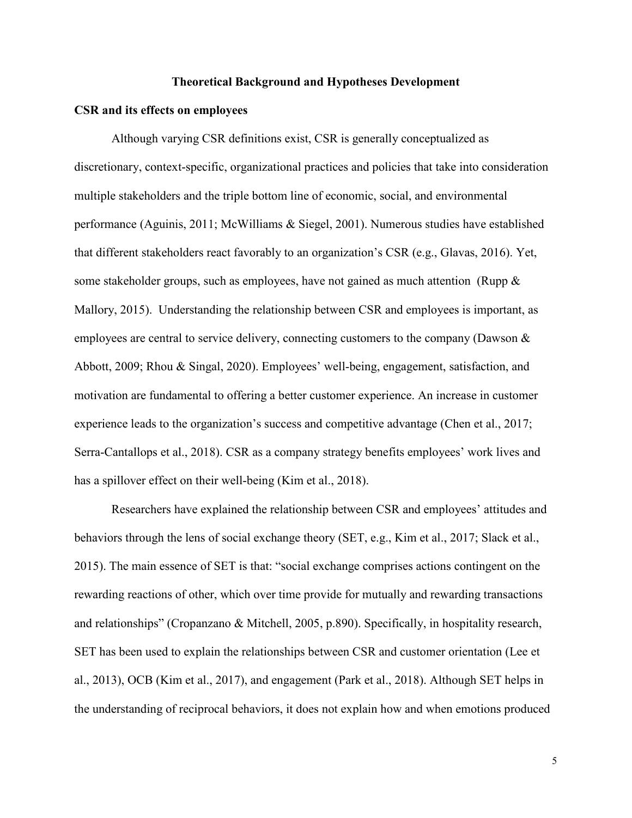#### **Theoretical Background and Hypotheses Development**

#### **CSR and its effects on employees**

Although varying CSR definitions exist, CSR is generally conceptualized as discretionary, context-specific, organizational practices and policies that take into consideration multiple stakeholders and the triple bottom line of economic, social, and environmental performance (Aguinis, 2011; McWilliams & Siegel, 2001). Numerous studies have established that different stakeholders react favorably to an organization's CSR (e.g., Glavas, 2016). Yet, some stakeholder groups, such as employees, have not gained as much attention (Rupp  $\&$ Mallory, 2015). Understanding the relationship between CSR and employees is important, as employees are central to service delivery, connecting customers to the company (Dawson & Abbott, 2009; Rhou & Singal, 2020). Employees' well-being, engagement, satisfaction, and motivation are fundamental to offering a better customer experience. An increase in customer experience leads to the organization's success and competitive advantage (Chen et al., 2017; Serra-Cantallops et al., 2018). CSR as a company strategy benefits employees' work lives and has a spillover effect on their well-being (Kim et al., 2018).

Researchers have explained the relationship between CSR and employees' attitudes and behaviors through the lens of social exchange theory (SET, e.g., Kim et al., 2017; Slack et al., 2015). The main essence of SET is that: "social exchange comprises actions contingent on the rewarding reactions of other, which over time provide for mutually and rewarding transactions and relationships" (Cropanzano & Mitchell, 2005, p.890). Specifically, in hospitality research, SET has been used to explain the relationships between CSR and customer orientation (Lee et al., 2013), OCB (Kim et al., 2017), and engagement (Park et al., 2018). Although SET helps in the understanding of reciprocal behaviors, it does not explain how and when emotions produced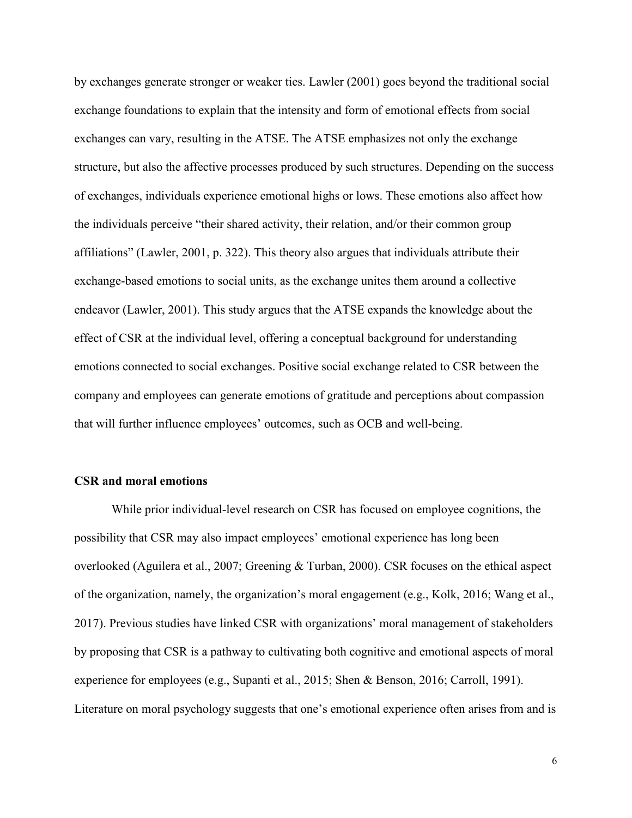by exchanges generate stronger or weaker ties. Lawler (2001) goes beyond the traditional social exchange foundations to explain that the intensity and form of emotional effects from social exchanges can vary, resulting in the ATSE. The ATSE emphasizes not only the exchange structure, but also the affective processes produced by such structures. Depending on the success of exchanges, individuals experience emotional highs or lows. These emotions also affect how the individuals perceive "their shared activity, their relation, and/or their common group affiliations" (Lawler, 2001, p. 322). This theory also argues that individuals attribute their exchange-based emotions to social units, as the exchange unites them around a collective endeavor (Lawler, 2001). This study argues that the ATSE expands the knowledge about the effect of CSR at the individual level, offering a conceptual background for understanding emotions connected to social exchanges. Positive social exchange related to CSR between the company and employees can generate emotions of gratitude and perceptions about compassion that will further influence employees' outcomes, such as OCB and well-being.

#### **CSR and moral emotions**

While prior individual-level research on CSR has focused on employee cognitions, the possibility that CSR may also impact employees' emotional experience has long been overlooked (Aguilera et al., 2007; Greening & Turban, 2000). CSR focuses on the ethical aspect of the organization, namely, the organization's moral engagement (e.g., Kolk, 2016; Wang et al., 2017). Previous studies have linked CSR with organizations' moral management of stakeholders by proposing that CSR is a pathway to cultivating both cognitive and emotional aspects of moral experience for employees (e.g., Supanti et al., 2015; Shen & Benson, 2016; Carroll, 1991). Literature on moral psychology suggests that one's emotional experience often arises from and is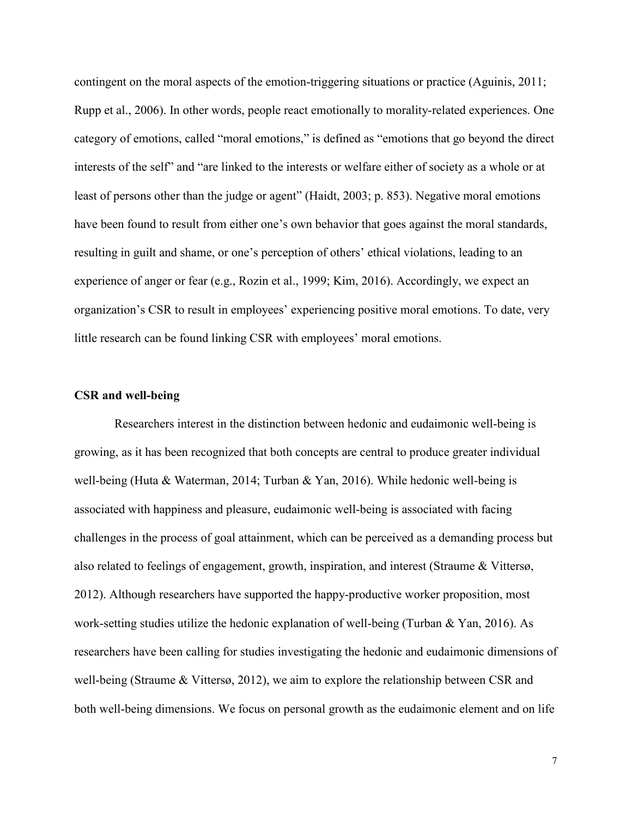contingent on the moral aspects of the emotion-triggering situations or practice (Aguinis, 2011; Rupp et al., 2006). In other words, people react emotionally to morality-related experiences. One category of emotions, called "moral emotions," is defined as "emotions that go beyond the direct interests of the self" and "are linked to the interests or welfare either of society as a whole or at least of persons other than the judge or agent" (Haidt, 2003; p. 853). Negative moral emotions have been found to result from either one's own behavior that goes against the moral standards, resulting in guilt and shame, or one's perception of others' ethical violations, leading to an experience of anger or fear (e.g., Rozin et al., 1999; Kim, 2016). Accordingly, we expect an organization's CSR to result in employees' experiencing positive moral emotions. To date, very little research can be found linking CSR with employees' moral emotions.

# **CSR and well-being**

Researchers interest in the distinction between hedonic and eudaimonic well-being is growing, as it has been recognized that both concepts are central to produce greater individual well-being (Huta & Waterman, 2014; Turban & Yan, 2016). While hedonic well-being is associated with happiness and pleasure, eudaimonic well-being is associated with facing challenges in the process of goal attainment, which can be perceived as a demanding process but also related to feelings of engagement, growth, inspiration, and interest (Straume & Vittersø, 2012). Although researchers have supported the happy-productive worker proposition, most work-setting studies utilize the hedonic explanation of well-being (Turban & Yan, 2016). As researchers have been calling for studies investigating the hedonic and eudaimonic dimensions of well-being (Straume & Vittersø, 2012), we aim to explore the relationship between CSR and both well-being dimensions. We focus on personal growth as the eudaimonic element and on life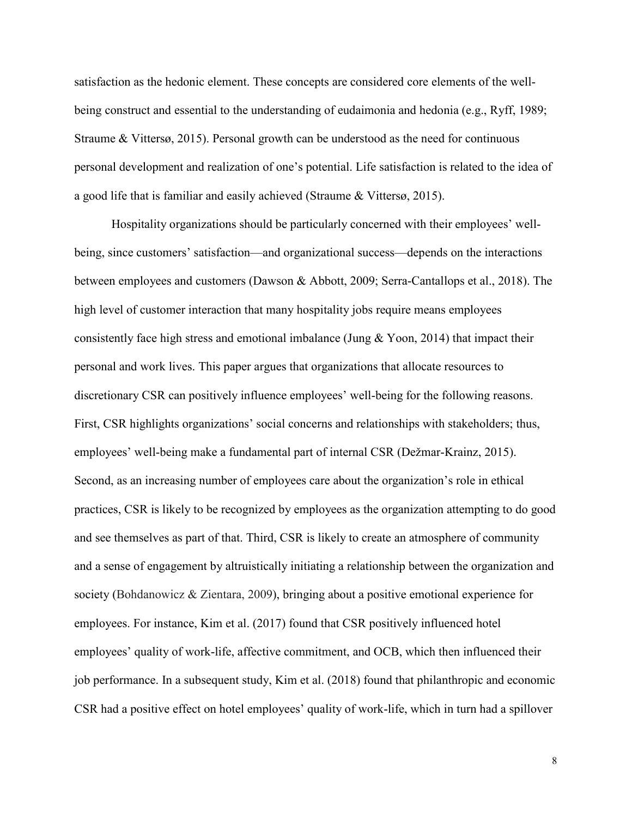satisfaction as the hedonic element. These concepts are considered core elements of the wellbeing construct and essential to the understanding of eudaimonia and hedonia (e.g., Ryff, 1989; Straume & Vittersø, 2015). Personal growth can be understood as the need for continuous personal development and realization of one's potential. Life satisfaction is related to the idea of a good life that is familiar and easily achieved (Straume & Vittersø, 2015).

Hospitality organizations should be particularly concerned with their employees' wellbeing, since customers' satisfaction—and organizational success—depends on the interactions between employees and customers (Dawson & Abbott, 2009; Serra-Cantallops et al., 2018). The high level of customer interaction that many hospitality jobs require means employees consistently face high stress and emotional imbalance (Jung & Yoon, 2014) that impact their personal and work lives. This paper argues that organizations that allocate resources to discretionary CSR can positively influence employees' well-being for the following reasons. First, CSR highlights organizations' social concerns and relationships with stakeholders; thus, employees' well-being make a fundamental part of internal CSR (Dežmar-Krainz, 2015). Second, as an increasing number of employees care about the organization's role in ethical practices, CSR is likely to be recognized by employees as the organization attempting to do good and see themselves as part of that. Third, CSR is likely to create an atmosphere of community and a sense of engagement by altruistically initiating a relationship between the organization and society (Bohdanowicz & Zientara, 2009), bringing about a positive emotional experience for employees. For instance, Kim et al. (2017) found that CSR positively influenced hotel employees' quality of work-life, affective commitment, and OCB, which then influenced their job performance. In a subsequent study, Kim et al. (2018) found that philanthropic and economic CSR had a positive effect on hotel employees' quality of work-life, which in turn had a spillover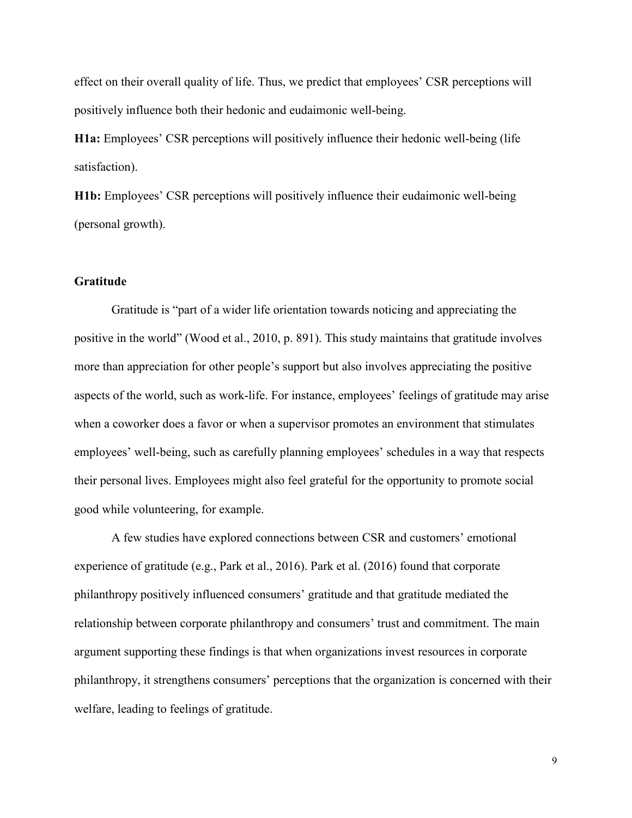effect on their overall quality of life. Thus, we predict that employees' CSR perceptions will positively influence both their hedonic and eudaimonic well-being.

**H1a:** Employees' CSR perceptions will positively influence their hedonic well-being (life satisfaction).

**H1b:** Employees' CSR perceptions will positively influence their eudaimonic well-being (personal growth).

# **Gratitude**

Gratitude is "part of a wider life orientation towards noticing and appreciating the positive in the world" (Wood et al., 2010, p. 891). This study maintains that gratitude involves more than appreciation for other people's support but also involves appreciating the positive aspects of the world, such as work-life. For instance, employees' feelings of gratitude may arise when a coworker does a favor or when a supervisor promotes an environment that stimulates employees' well-being, such as carefully planning employees' schedules in a way that respects their personal lives. Employees might also feel grateful for the opportunity to promote social good while volunteering, for example.

A few studies have explored connections between CSR and customers' emotional experience of gratitude (e.g., Park et al., 2016). Park et al. (2016) found that corporate philanthropy positively influenced consumers' gratitude and that gratitude mediated the relationship between corporate philanthropy and consumers' trust and commitment. The main argument supporting these findings is that when organizations invest resources in corporate philanthropy, it strengthens consumers' perceptions that the organization is concerned with their welfare, leading to feelings of gratitude.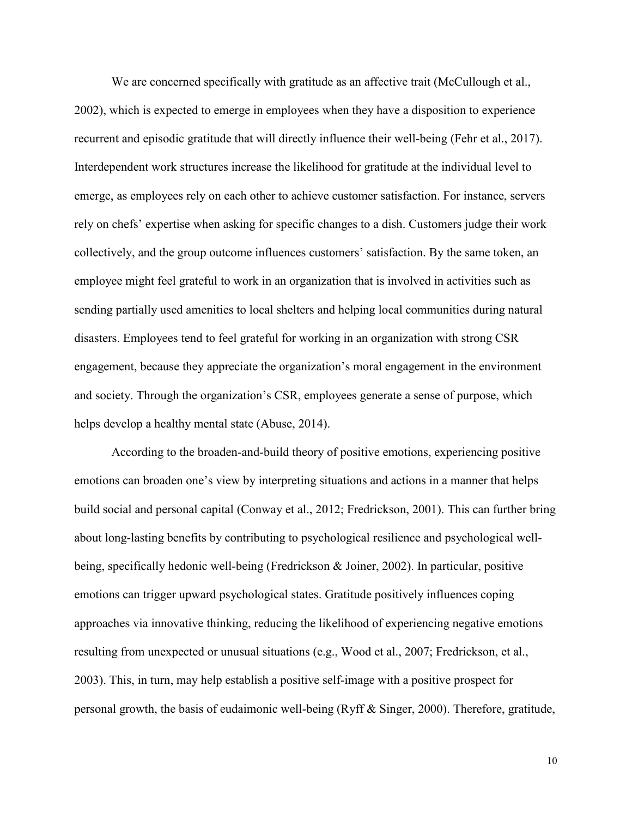We are concerned specifically with gratitude as an affective trait (McCullough et al., 2002), which is expected to emerge in employees when they have a disposition to experience recurrent and episodic gratitude that will directly influence their well-being (Fehr et al., 2017). Interdependent work structures increase the likelihood for gratitude at the individual level to emerge, as employees rely on each other to achieve customer satisfaction. For instance, servers rely on chefs' expertise when asking for specific changes to a dish. Customers judge their work collectively, and the group outcome influences customers' satisfaction. By the same token, an employee might feel grateful to work in an organization that is involved in activities such as sending partially used amenities to local shelters and helping local communities during natural disasters. Employees tend to feel grateful for working in an organization with strong CSR engagement, because they appreciate the organization's moral engagement in the environment and society. Through the organization's CSR, employees generate a sense of purpose, which helps develop a healthy mental state (Abuse, 2014).

According to the broaden-and-build theory of positive emotions, experiencing positive emotions can broaden one's view by interpreting situations and actions in a manner that helps build social and personal capital (Conway et al., 2012; Fredrickson, 2001). This can further bring about long-lasting benefits by contributing to psychological resilience and psychological wellbeing, specifically hedonic well-being (Fredrickson & Joiner, 2002). In particular, positive emotions can trigger upward psychological states. Gratitude positively influences coping approaches via innovative thinking, reducing the likelihood of experiencing negative emotions resulting from unexpected or unusual situations (e.g., Wood et al., 2007; Fredrickson, et al., 2003). This, in turn, may help establish a positive self-image with a positive prospect for personal growth, the basis of eudaimonic well-being (Ryff & Singer, 2000). Therefore, gratitude,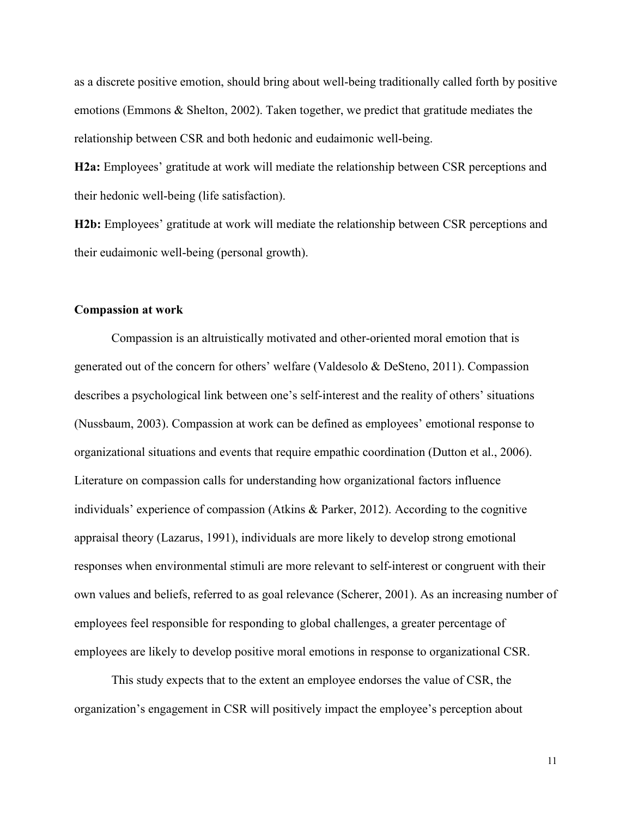as a discrete positive emotion, should bring about well-being traditionally called forth by positive emotions (Emmons & Shelton, 2002). Taken together, we predict that gratitude mediates the relationship between CSR and both hedonic and eudaimonic well-being.

**H2a:** Employees' gratitude at work will mediate the relationship between CSR perceptions and their hedonic well-being (life satisfaction).

**H2b:** Employees' gratitude at work will mediate the relationship between CSR perceptions and their eudaimonic well-being (personal growth).

### **Compassion at work**

Compassion is an altruistically motivated and other-oriented moral emotion that is generated out of the concern for others' welfare (Valdesolo & DeSteno, 2011). Compassion describes a psychological link between one's self-interest and the reality of others' situations (Nussbaum, 2003). Compassion at work can be defined as employees' emotional response to organizational situations and events that require empathic coordination (Dutton et al., 2006). Literature on compassion calls for understanding how organizational factors influence individuals' experience of compassion (Atkins & Parker, 2012). According to the cognitive appraisal theory (Lazarus, 1991), individuals are more likely to develop strong emotional responses when environmental stimuli are more relevant to self-interest or congruent with their own values and beliefs, referred to as goal relevance (Scherer, 2001). As an increasing number of employees feel responsible for responding to global challenges, a greater percentage of employees are likely to develop positive moral emotions in response to organizational CSR.

This study expects that to the extent an employee endorses the value of CSR, the organization's engagement in CSR will positively impact the employee's perception about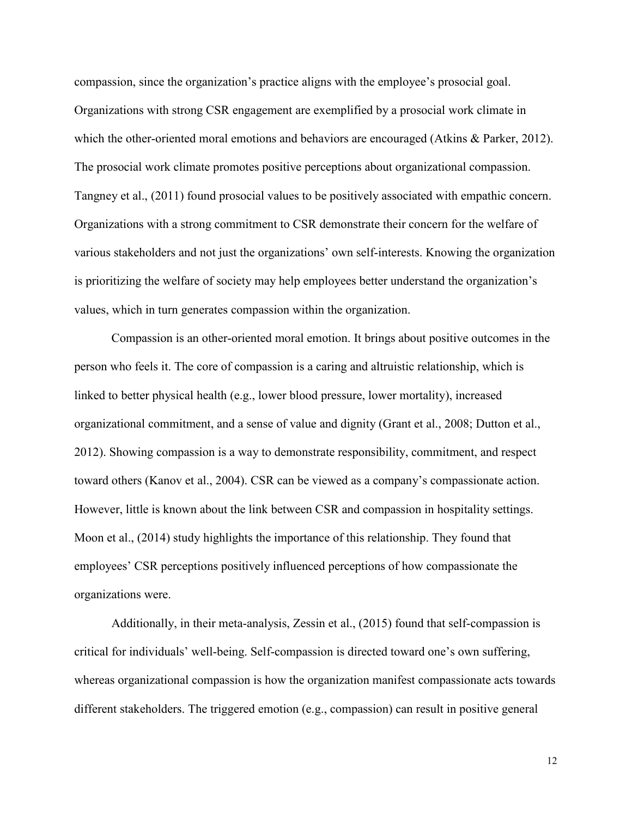compassion, since the organization's practice aligns with the employee's prosocial goal. Organizations with strong CSR engagement are exemplified by a prosocial work climate in which the other-oriented moral emotions and behaviors are encouraged (Atkins & Parker, 2012). The prosocial work climate promotes positive perceptions about organizational compassion. Tangney et al., (2011) found prosocial values to be positively associated with empathic concern. Organizations with a strong commitment to CSR demonstrate their concern for the welfare of various stakeholders and not just the organizations' own self-interests. Knowing the organization is prioritizing the welfare of society may help employees better understand the organization's values, which in turn generates compassion within the organization.

Compassion is an other-oriented moral emotion. It brings about positive outcomes in the person who feels it. The core of compassion is a caring and altruistic relationship, which is linked to better physical health (e.g., lower blood pressure, lower mortality), increased organizational commitment, and a sense of value and dignity (Grant et al., 2008; Dutton et al., 2012). Showing compassion is a way to demonstrate responsibility, commitment, and respect toward others (Kanov et al., 2004). CSR can be viewed as a company's compassionate action. However, little is known about the link between CSR and compassion in hospitality settings. Moon et al., (2014) study highlights the importance of this relationship. They found that employees' CSR perceptions positively influenced perceptions of how compassionate the organizations were.

Additionally, in their meta-analysis, Zessin et al., (2015) found that self-compassion is critical for individuals' well-being. Self-compassion is directed toward one's own suffering, whereas organizational compassion is how the organization manifest compassionate acts towards different stakeholders. The triggered emotion (e.g., compassion) can result in positive general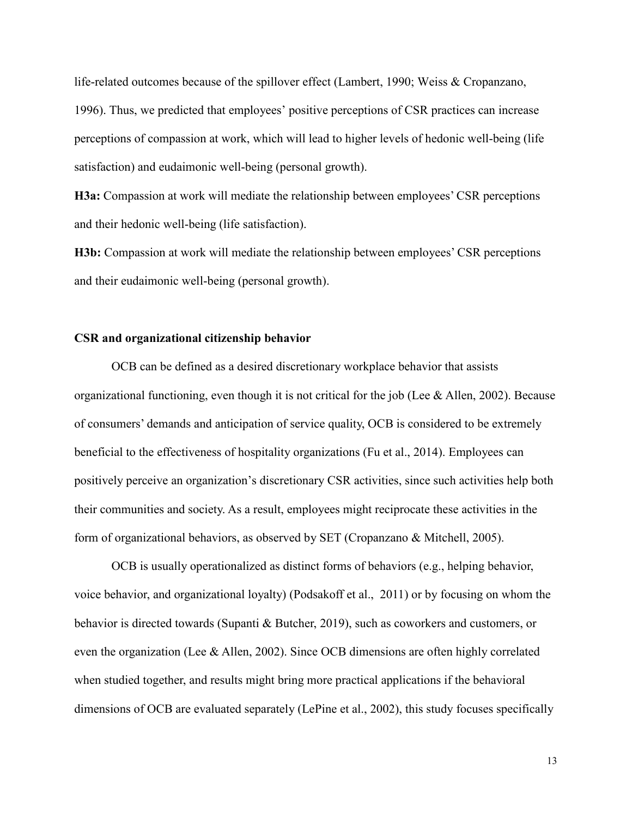life-related outcomes because of the spillover effect (Lambert, 1990; Weiss & Cropanzano, 1996). Thus, we predicted that employees' positive perceptions of CSR practices can increase perceptions of compassion at work, which will lead to higher levels of hedonic well-being (life satisfaction) and eudaimonic well-being (personal growth).

**H3a:** Compassion at work will mediate the relationship between employees' CSR perceptions and their hedonic well-being (life satisfaction).

**H3b:** Compassion at work will mediate the relationship between employees' CSR perceptions and their eudaimonic well-being (personal growth).

# **CSR and organizational citizenship behavior**

OCB can be defined as a desired discretionary workplace behavior that assists organizational functioning, even though it is not critical for the job (Lee & Allen, 2002). Because of consumers' demands and anticipation of service quality, OCB is considered to be extremely beneficial to the effectiveness of hospitality organizations (Fu et al., 2014). Employees can positively perceive an organization's discretionary CSR activities, since such activities help both their communities and society. As a result, employees might reciprocate these activities in the form of organizational behaviors, as observed by SET (Cropanzano & Mitchell, 2005).

OCB is usually operationalized as distinct forms of behaviors (e.g., helping behavior, voice behavior, and organizational loyalty) (Podsakoff et al., 2011) or by focusing on whom the behavior is directed towards (Supanti & Butcher, 2019), such as coworkers and customers, or even the organization (Lee & Allen, 2002). Since OCB dimensions are often highly correlated when studied together, and results might bring more practical applications if the behavioral dimensions of OCB are evaluated separately (LePine et al., 2002), this study focuses specifically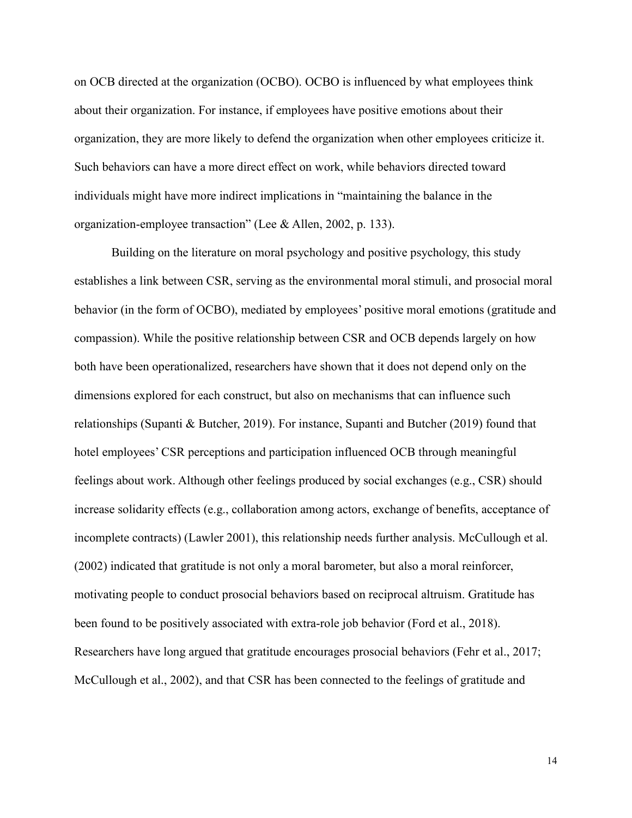on OCB directed at the organization (OCBO). OCBO is influenced by what employees think about their organization. For instance, if employees have positive emotions about their organization, they are more likely to defend the organization when other employees criticize it. Such behaviors can have a more direct effect on work, while behaviors directed toward individuals might have more indirect implications in "maintaining the balance in the organization-employee transaction" (Lee & Allen, 2002, p. 133).

Building on the literature on moral psychology and positive psychology, this study establishes a link between CSR, serving as the environmental moral stimuli, and prosocial moral behavior (in the form of OCBO), mediated by employees' positive moral emotions (gratitude and compassion). While the positive relationship between CSR and OCB depends largely on how both have been operationalized, researchers have shown that it does not depend only on the dimensions explored for each construct, but also on mechanisms that can influence such relationships (Supanti & Butcher, 2019). For instance, Supanti and Butcher (2019) found that hotel employees' CSR perceptions and participation influenced OCB through meaningful feelings about work. Although other feelings produced by social exchanges (e.g., CSR) should increase solidarity effects (e.g., collaboration among actors, exchange of benefits, acceptance of incomplete contracts) (Lawler 2001), this relationship needs further analysis. McCullough et al. (2002) indicated that gratitude is not only a moral barometer, but also a moral reinforcer, motivating people to conduct prosocial behaviors based on reciprocal altruism. Gratitude has been found to be positively associated with extra-role job behavior (Ford et al., 2018). Researchers have long argued that gratitude encourages prosocial behaviors (Fehr et al., 2017; McCullough et al., 2002), and that CSR has been connected to the feelings of gratitude and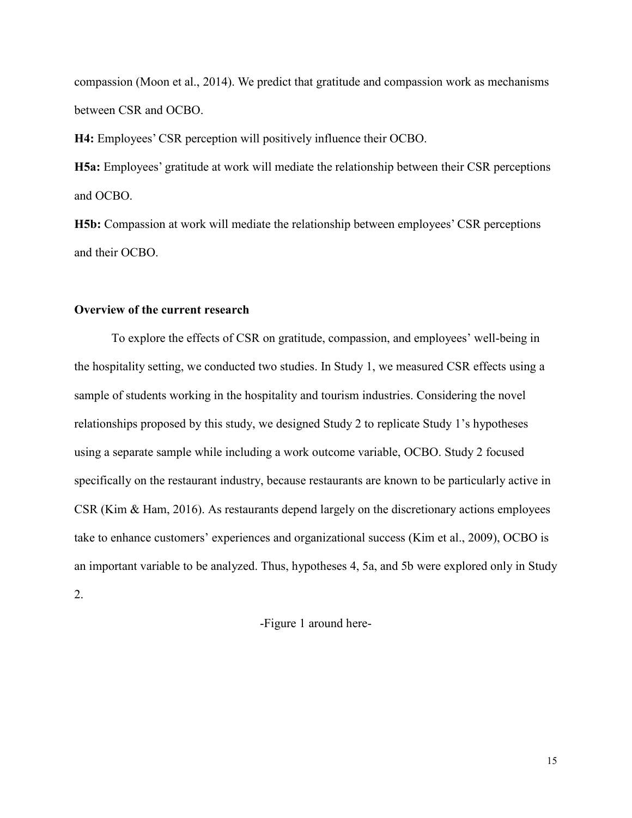compassion (Moon et al., 2014). We predict that gratitude and compassion work as mechanisms between CSR and OCBO.

**H4:** Employees' CSR perception will positively influence their OCBO.

**H5a:** Employees' gratitude at work will mediate the relationship between their CSR perceptions and OCBO.

**H5b:** Compassion at work will mediate the relationship between employees' CSR perceptions and their OCBO.

# **Overview of the current research**

To explore the effects of CSR on gratitude, compassion, and employees' well-being in the hospitality setting, we conducted two studies. In Study 1, we measured CSR effects using a sample of students working in the hospitality and tourism industries. Considering the novel relationships proposed by this study, we designed Study 2 to replicate Study 1's hypotheses using a separate sample while including a work outcome variable, OCBO. Study 2 focused specifically on the restaurant industry, because restaurants are known to be particularly active in CSR (Kim & Ham, 2016). As restaurants depend largely on the discretionary actions employees take to enhance customers' experiences and organizational success (Kim et al., 2009), OCBO is an important variable to be analyzed. Thus, hypotheses 4, 5a, and 5b were explored only in Study 2.

-Figure 1 around here-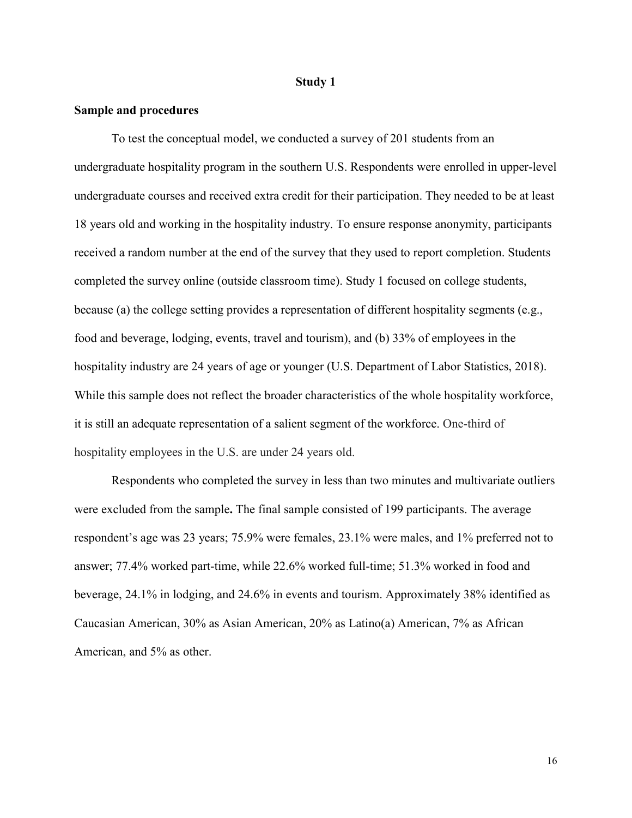#### **Study 1**

### **Sample and procedures**

To test the conceptual model, we conducted a survey of 201 students from an undergraduate hospitality program in the southern U.S. Respondents were enrolled in upper-level undergraduate courses and received extra credit for their participation. They needed to be at least 18 years old and working in the hospitality industry. To ensure response anonymity, participants received a random number at the end of the survey that they used to report completion. Students completed the survey online (outside classroom time). Study 1 focused on college students, because (a) the college setting provides a representation of different hospitality segments (e.g., food and beverage, lodging, events, travel and tourism), and (b) 33% of employees in the hospitality industry are 24 years of age or younger (U.S. Department of Labor Statistics, 2018). While this sample does not reflect the broader characteristics of the whole hospitality workforce, it is still an adequate representation of a salient segment of the workforce. One-third of hospitality employees in the U.S. are under 24 years old.

Respondents who completed the survey in less than two minutes and multivariate outliers were excluded from the sample**.** The final sample consisted of 199 participants. The average respondent's age was 23 years; 75.9% were females, 23.1% were males, and 1% preferred not to answer; 77.4% worked part-time, while 22.6% worked full-time; 51.3% worked in food and beverage, 24.1% in lodging, and 24.6% in events and tourism. Approximately 38% identified as Caucasian American, 30% as Asian American, 20% as Latino(a) American, 7% as African American, and 5% as other.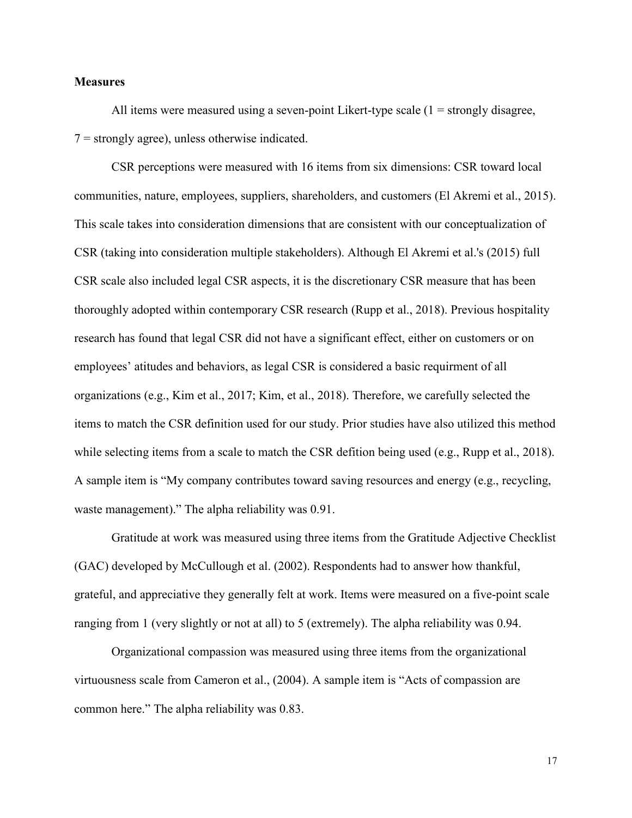## **Measures**

All items were measured using a seven-point Likert-type scale  $(1 =$  strongly disagree,  $7 =$  strongly agree), unless otherwise indicated.

CSR perceptions were measured with 16 items from six dimensions: CSR toward local communities, nature, employees, suppliers, shareholders, and customers (El Akremi et al., 2015). This scale takes into consideration dimensions that are consistent with our conceptualization of CSR (taking into consideration multiple stakeholders). Although El Akremi et al.'s (2015) full CSR scale also included legal CSR aspects, it is the discretionary CSR measure that has been thoroughly adopted within contemporary CSR research (Rupp et al., 2018). Previous hospitality research has found that legal CSR did not have a significant effect, either on customers or on employees' atitudes and behaviors, as legal CSR is considered a basic requirment of all organizations (e.g., Kim et al., 2017; Kim, et al., 2018). Therefore, we carefully selected the items to match the CSR definition used for our study. Prior studies have also utilized this method while selecting items from a scale to match the CSR defition being used (e.g., Rupp et al., 2018). A sample item is "My company contributes toward saving resources and energy (e.g., recycling, waste management)." The alpha reliability was 0.91.

Gratitude at work was measured using three items from the Gratitude Adjective Checklist (GAC) developed by McCullough et al. (2002). Respondents had to answer how thankful, grateful, and appreciative they generally felt at work. Items were measured on a five-point scale ranging from 1 (very slightly or not at all) to 5 (extremely). The alpha reliability was 0.94.

Organizational compassion was measured using three items from the organizational virtuousness scale from Cameron et al., (2004). A sample item is "Acts of compassion are common here." The alpha reliability was 0.83.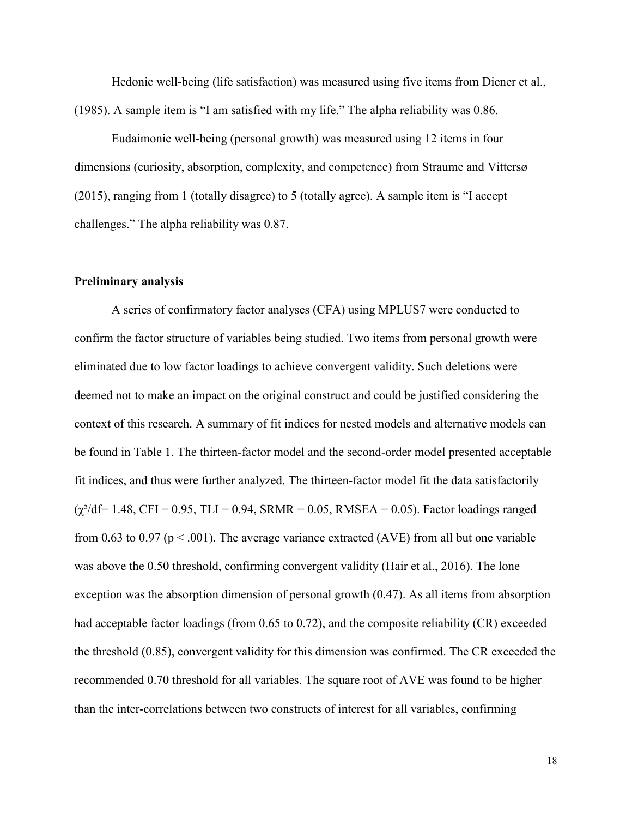Hedonic well-being (life satisfaction) was measured using five items from Diener et al., (1985). A sample item is "I am satisfied with my life." The alpha reliability was 0.86.

Eudaimonic well-being (personal growth) was measured using 12 items in four dimensions (curiosity, absorption, complexity, and competence) from Straume and Vittersø (2015), ranging from 1 (totally disagree) to 5 (totally agree). A sample item is "I accept challenges." The alpha reliability was 0.87.

#### **Preliminary analysis**

A series of confirmatory factor analyses (CFA) using MPLUS7 were conducted to confirm the factor structure of variables being studied. Two items from personal growth were eliminated due to low factor loadings to achieve convergent validity. Such deletions were deemed not to make an impact on the original construct and could be justified considering the context of this research. A summary of fit indices for nested models and alternative models can be found in Table 1. The thirteen-factor model and the second-order model presented acceptable fit indices, and thus were further analyzed. The thirteen-factor model fit the data satisfactorily  $(\chi^2/df= 1.48, CFI = 0.95, TLI = 0.94, SRMR = 0.05, RMSEA = 0.05)$ . Factor loadings ranged from 0.63 to 0.97 ( $p < .001$ ). The average variance extracted (AVE) from all but one variable was above the 0.50 threshold, confirming convergent validity (Hair et al., 2016). The lone exception was the absorption dimension of personal growth (0.47). As all items from absorption had acceptable factor loadings (from 0.65 to 0.72), and the composite reliability (CR) exceeded the threshold (0.85), convergent validity for this dimension was confirmed. The CR exceeded the recommended 0.70 threshold for all variables. The square root of AVE was found to be higher than the inter-correlations between two constructs of interest for all variables, confirming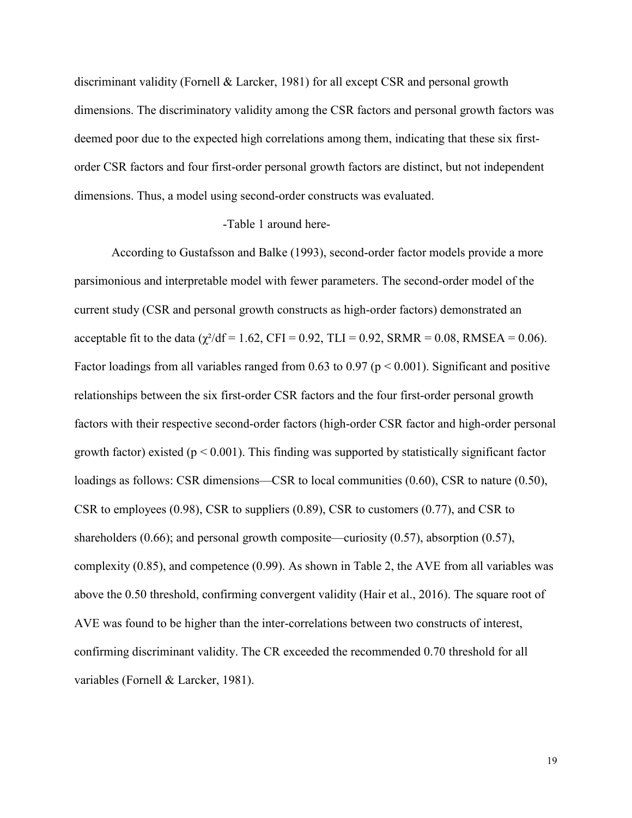discriminant validity (Fornell & Larcker, 1981) for all except CSR and personal growth dimensions. The discriminatory validity among the CSR factors and personal growth factors was deemed poor due to the expected high correlations among them, indicating that these six firstorder CSR factors and four first-order personal growth factors are distinct, but not independent dimensions. Thus, a model using second-order constructs was evaluated.

# -Table 1 around here-

According to Gustafsson and Balke (1993), second-order factor models provide a more parsimonious and interpretable model with fewer parameters. The second-order model of the current study (CSR and personal growth constructs as high-order factors) demonstrated an acceptable fit to the data ( $\gamma^2/df = 1.62$ , CFI = 0.92, TLI = 0.92, SRMR = 0.08, RMSEA = 0.06). Factor loadings from all variables ranged from 0.63 to 0.97 ( $p \le 0.001$ ). Significant and positive relationships between the six first-order CSR factors and the four first-order personal growth factors with their respective second-order factors (high-order CSR factor and high-order personal growth factor) existed ( $p < 0.001$ ). This finding was supported by statistically significant factor loadings as follows: CSR dimensions—CSR to local communities (0.60), CSR to nature (0.50), CSR to employees (0.98), CSR to suppliers (0.89), CSR to customers (0.77), and CSR to shareholders (0.66); and personal growth composite—curiosity (0.57), absorption (0.57), complexity (0.85), and competence (0.99). As shown in Table 2, the AVE from all variables was above the 0.50 threshold, confirming convergent validity (Hair et al., 2016). The square root of AVE was found to be higher than the inter-correlations between two constructs of interest, confirming discriminant validity. The CR exceeded the recommended 0.70 threshold for all variables (Fornell & Larcker, 1981).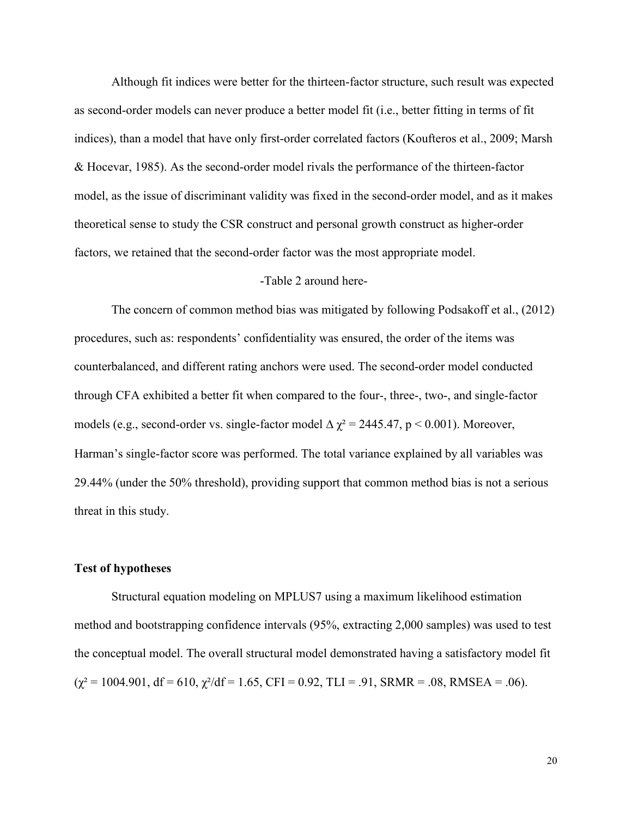Although fit indices were better for the thirteen-factor structure, such result was expected as second-order models can never produce a better model fit (i.e., better fitting in terms of fit indices), than a model that have only first-order correlated factors (Koufteros et al., 2009; Marsh & Hocevar, 1985). As the second-order model rivals the performance of the thirteen-factor model, as the issue of discriminant validity was fixed in the second-order model, and as it makes theoretical sense to study the CSR construct and personal growth construct as higher-order factors, we retained that the second-order factor was the most appropriate model.

# -Table 2 around here-

The concern of common method bias was mitigated by following Podsakoff et al., (2012) procedures, such as: respondents' confidentiality was ensured, the order of the items was counterbalanced, and different rating anchors were used. The second-order model conducted through CFA exhibited a better fit when compared to the four-, three-, two-, and single-factor models (e.g., second-order vs. single-factor model  $\Delta \chi^2 = 2445.47$ , p < 0.001). Moreover, Harman's single-factor score was performed. The total variance explained by all variables was 29.44% (under the 50% threshold), providing support that common method bias is not a serious threat in this study.

# **Test of hypotheses**

Structural equation modeling on MPLUS7 using a maximum likelihood estimation method and bootstrapping confidence intervals (95%, extracting 2,000 samples) was used to test the conceptual model. The overall structural model demonstrated having a satisfactory model fit  $(\chi^2 = 1004.901, df = 610, \chi^2/df = 1.65, CFI = 0.92, TLI = .91, SRMR = .08, RMSEA = .06).$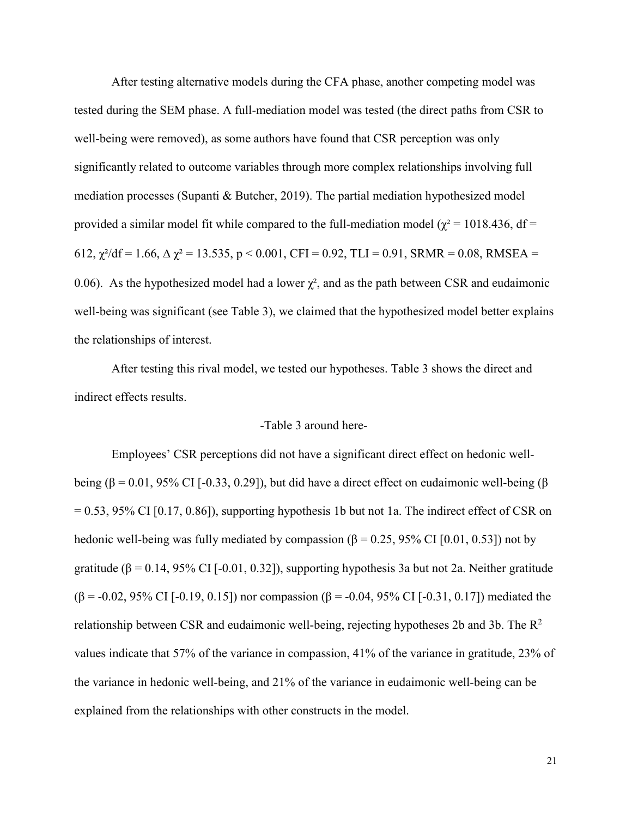After testing alternative models during the CFA phase, another competing model was tested during the SEM phase. A full-mediation model was tested (the direct paths from CSR to well-being were removed), as some authors have found that CSR perception was only significantly related to outcome variables through more complex relationships involving full mediation processes (Supanti & Butcher, 2019). The partial mediation hypothesized model provided a similar model fit while compared to the full-mediation model ( $\chi^2$  = 1018.436, df = 612,  $\chi^2/df = 1.66$ ,  $\Delta \chi^2 = 13.535$ ,  $p < 0.001$ , CFI = 0.92, TLI = 0.91, SRMR = 0.08, RMSEA = 0.06). As the hypothesized model had a lower  $\chi^2$ , and as the path between CSR and eudaimonic well-being was significant (see Table 3), we claimed that the hypothesized model better explains the relationships of interest.

After testing this rival model, we tested our hypotheses. Table 3 shows the direct and indirect effects results.

## -Table 3 around here-

Employees' CSR perceptions did not have a significant direct effect on hedonic wellbeing (β = 0.01, 95% CI [-0.33, 0.29]), but did have a direct effect on eudaimonic well-being (β  $= 0.53$ , 95% CI [0.17, 0.86]), supporting hypothesis 1b but not 1a. The indirect effect of CSR on hedonic well-being was fully mediated by compassion ( $\beta$  = 0.25, 95% CI [0.01, 0.53]) not by gratitude ( $\beta = 0.14$ , 95% CI [-0.01, 0.32]), supporting hypothesis 3a but not 2a. Neither gratitude ( $\beta$  = -0.02, 95% CI [-0.19, 0.15]) nor compassion ( $\beta$  = -0.04, 95% CI [-0.31, 0.17]) mediated the relationship between CSR and eudaimonic well-being, rejecting hypotheses 2b and 3b. The  $\mathbb{R}^2$ values indicate that 57% of the variance in compassion, 41% of the variance in gratitude, 23% of the variance in hedonic well-being, and 21% of the variance in eudaimonic well-being can be explained from the relationships with other constructs in the model.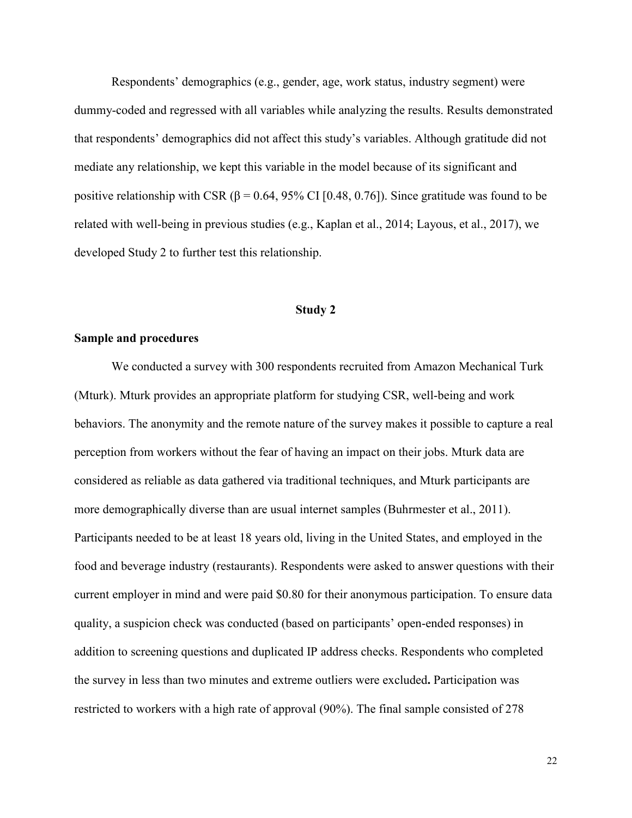Respondents' demographics (e.g., gender, age, work status, industry segment) were dummy-coded and regressed with all variables while analyzing the results. Results demonstrated that respondents' demographics did not affect this study's variables. Although gratitude did not mediate any relationship, we kept this variable in the model because of its significant and positive relationship with CSR ( $\beta$  = 0.64, 95% CI [0.48, 0.76]). Since gratitude was found to be related with well-being in previous studies (e.g., Kaplan et al., 2014; Layous, et al., 2017), we developed Study 2 to further test this relationship.

#### **Study 2**

# **Sample and procedures**

We conducted a survey with 300 respondents recruited from Amazon Mechanical Turk (Mturk). Mturk provides an appropriate platform for studying CSR, well-being and work behaviors. The anonymity and the remote nature of the survey makes it possible to capture a real perception from workers without the fear of having an impact on their jobs. Mturk data are considered as reliable as data gathered via traditional techniques, and Mturk participants are more demographically diverse than are usual internet samples (Buhrmester et al., 2011). Participants needed to be at least 18 years old, living in the United States, and employed in the food and beverage industry (restaurants). Respondents were asked to answer questions with their current employer in mind and were paid \$0.80 for their anonymous participation. To ensure data quality, a suspicion check was conducted (based on participants' open-ended responses) in addition to screening questions and duplicated IP address checks. Respondents who completed the survey in less than two minutes and extreme outliers were excluded**.** Participation was restricted to workers with a high rate of approval (90%). The final sample consisted of 278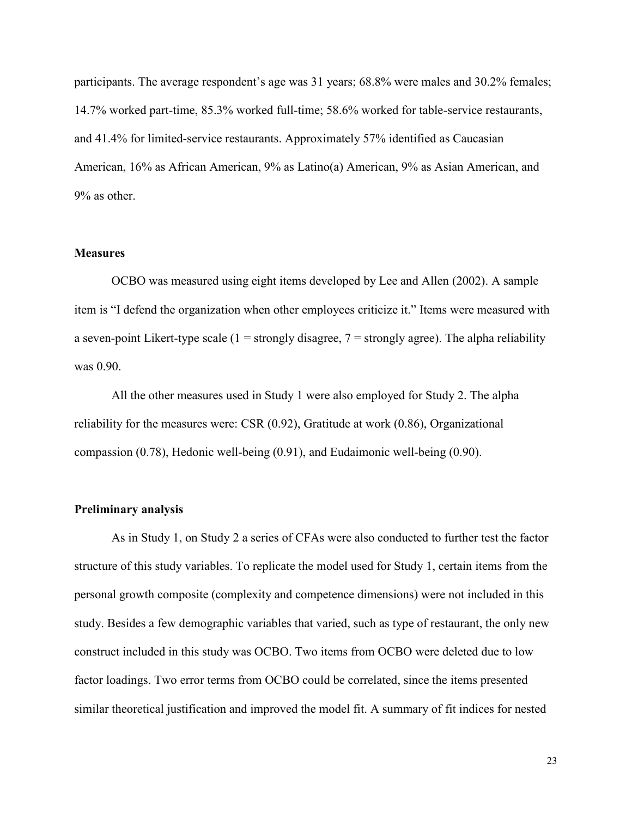participants. The average respondent's age was 31 years; 68.8% were males and 30.2% females; 14.7% worked part-time, 85.3% worked full-time; 58.6% worked for table-service restaurants, and 41.4% for limited-service restaurants. Approximately 57% identified as Caucasian American, 16% as African American, 9% as Latino(a) American, 9% as Asian American, and 9% as other.

## **Measures**

OCBO was measured using eight items developed by Lee and Allen (2002). A sample item is "I defend the organization when other employees criticize it." Items were measured with a seven-point Likert-type scale  $(1 = strongly disagree, 7 = strongly agree)$ . The alpha reliability was 0.90.

All the other measures used in Study 1 were also employed for Study 2. The alpha reliability for the measures were: CSR (0.92), Gratitude at work (0.86), Organizational compassion (0.78), Hedonic well-being (0.91), and Eudaimonic well-being (0.90).

# **Preliminary analysis**

As in Study 1, on Study 2 a series of CFAs were also conducted to further test the factor structure of this study variables. To replicate the model used for Study 1, certain items from the personal growth composite (complexity and competence dimensions) were not included in this study. Besides a few demographic variables that varied, such as type of restaurant, the only new construct included in this study was OCBO. Two items from OCBO were deleted due to low factor loadings. Two error terms from OCBO could be correlated, since the items presented similar theoretical justification and improved the model fit. A summary of fit indices for nested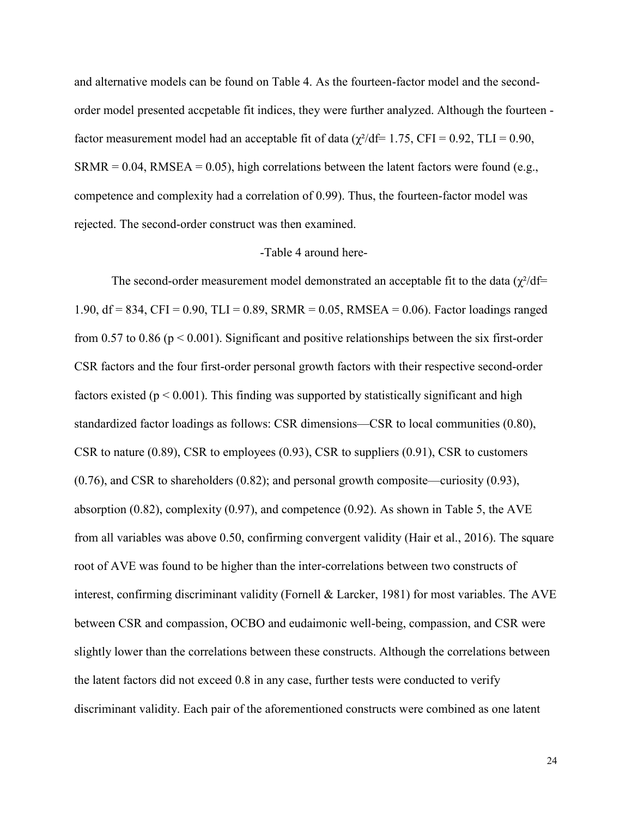and alternative models can be found on Table 4. As the fourteen-factor model and the secondorder model presented accpetable fit indices, they were further analyzed. Although the fourteen factor measurement model had an acceptable fit of data ( $\chi^2$ /df= 1.75, CFI = 0.92, TLI = 0.90,  $SRMR = 0.04$ ,  $RMSEA = 0.05$ ), high correlations between the latent factors were found (e.g., competence and complexity had a correlation of 0.99). Thus, the fourteen-factor model was rejected. The second-order construct was then examined.

# -Table 4 around here-

The second-order measurement model demonstrated an acceptable fit to the data  $(\gamma^2/df=$ 1.90, df = 834, CFI = 0.90, TLI = 0.89, SRMR = 0.05, RMSEA = 0.06). Factor loadings ranged from 0.57 to 0.86 ( $p < 0.001$ ). Significant and positive relationships between the six first-order CSR factors and the four first-order personal growth factors with their respective second-order factors existed ( $p \le 0.001$ ). This finding was supported by statistically significant and high standardized factor loadings as follows: CSR dimensions—CSR to local communities (0.80), CSR to nature (0.89), CSR to employees (0.93), CSR to suppliers (0.91), CSR to customers (0.76), and CSR to shareholders (0.82); and personal growth composite—curiosity (0.93), absorption (0.82), complexity (0.97), and competence (0.92). As shown in Table 5, the AVE from all variables was above 0.50, confirming convergent validity (Hair et al., 2016). The square root of AVE was found to be higher than the inter-correlations between two constructs of interest, confirming discriminant validity (Fornell & Larcker, 1981) for most variables. The AVE between CSR and compassion, OCBO and eudaimonic well-being, compassion, and CSR were slightly lower than the correlations between these constructs. Although the correlations between the latent factors did not exceed 0.8 in any case, further tests were conducted to verify discriminant validity. Each pair of the aforementioned constructs were combined as one latent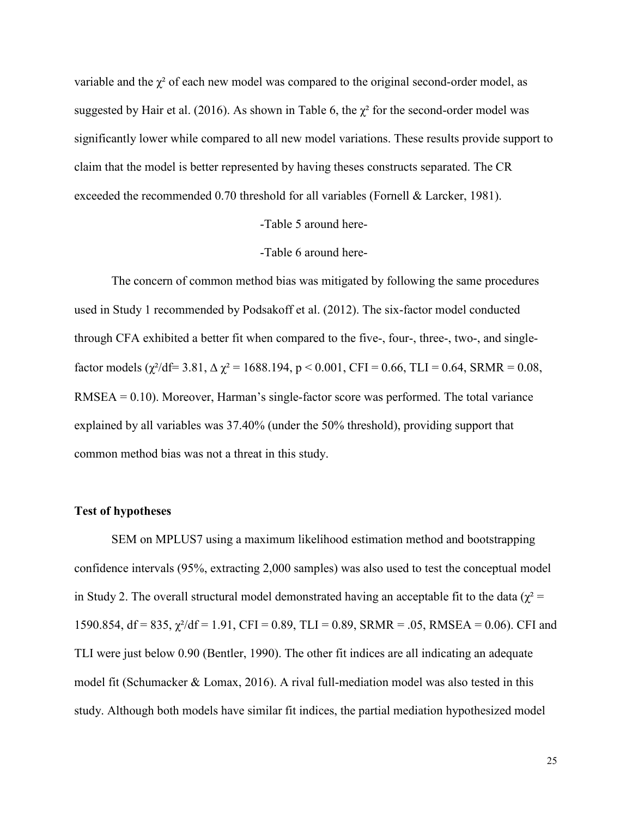variable and the  $\chi^2$  of each new model was compared to the original second-order model, as suggested by Hair et al. (2016). As shown in Table 6, the  $\chi^2$  for the second-order model was significantly lower while compared to all new model variations. These results provide support to claim that the model is better represented by having theses constructs separated. The CR exceeded the recommended 0.70 threshold for all variables (Fornell & Larcker, 1981).

# -Table 5 around here-

#### -Table 6 around here-

The concern of common method bias was mitigated by following the same procedures used in Study 1 recommended by Podsakoff et al. (2012). The six-factor model conducted through CFA exhibited a better fit when compared to the five-, four-, three-, two-, and singlefactor models ( $\chi^2$ /df= 3.81,  $\Delta \chi^2$  = 1688.194, p < 0.001, CFI = 0.66, TLI = 0.64, SRMR = 0.08, RMSEA = 0.10). Moreover, Harman's single-factor score was performed. The total variance explained by all variables was 37.40% (under the 50% threshold), providing support that common method bias was not a threat in this study.

# **Test of hypotheses**

SEM on MPLUS7 using a maximum likelihood estimation method and bootstrapping confidence intervals (95%, extracting 2,000 samples) was also used to test the conceptual model in Study 2. The overall structural model demonstrated having an acceptable fit to the data ( $\chi^2$  = 1590.854, df = 835,  $\chi^2$ /df = 1.91, CFI = 0.89, TLI = 0.89, SRMR = .05, RMSEA = 0.06). CFI and TLI were just below 0.90 (Bentler, 1990). The other fit indices are all indicating an adequate model fit (Schumacker & Lomax, 2016). A rival full-mediation model was also tested in this study. Although both models have similar fit indices, the partial mediation hypothesized model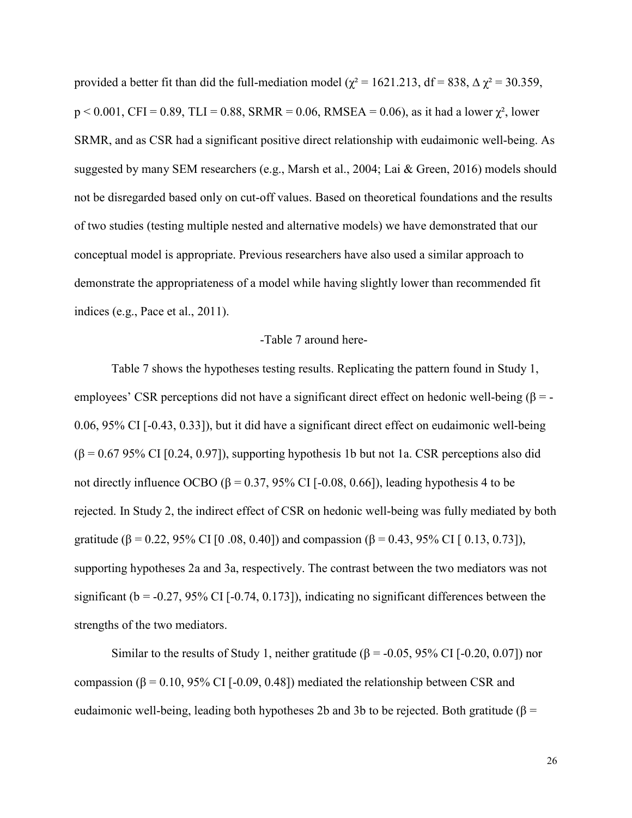provided a better fit than did the full-mediation model ( $\chi^2$  = 1621.213, df = 838,  $\Delta \chi^2$  = 30.359,  $p < 0.001$ , CFI = 0.89, TLI = 0.88, SRMR = 0.06, RMSEA = 0.06), as it had a lower  $\chi^2$ , lower SRMR, and as CSR had a significant positive direct relationship with eudaimonic well-being. As suggested by many SEM researchers (e.g., Marsh et al., 2004; Lai & Green, 2016) models should not be disregarded based only on cut-off values. Based on theoretical foundations and the results of two studies (testing multiple nested and alternative models) we have demonstrated that our conceptual model is appropriate. Previous researchers have also used a similar approach to demonstrate the appropriateness of a model while having slightly lower than recommended fit indices (e.g., Pace et al., 2011).

#### -Table 7 around here-

Table 7 shows the hypotheses testing results. Replicating the pattern found in Study 1, employees' CSR perceptions did not have a significant direct effect on hedonic well-being ( $\beta$  = -0.06, 95% CI [-0.43, 0.33]), but it did have a significant direct effect on eudaimonic well-being  $(\beta = 0.6795\% \text{ CI} [0.24, 0.97])$ , supporting hypothesis 1b but not 1a. CSR perceptions also did not directly influence OCBO (β = 0.37, 95% CI [-0.08, 0.66]), leading hypothesis 4 to be rejected. In Study 2, the indirect effect of CSR on hedonic well-being was fully mediated by both gratitude ( $\beta = 0.22$ , 95% CI [0.08, 0.40]) and compassion ( $\beta = 0.43$ , 95% CI [0.13, 0.73]), supporting hypotheses 2a and 3a, respectively. The contrast between the two mediators was not significant ( $b = -0.27, 95\%$  CI [ $-0.74, 0.173$ ]), indicating no significant differences between the strengths of the two mediators.

Similar to the results of Study 1, neither gratitude ( $\beta$  = -0.05, 95% CI [-0.20, 0.07]) nor compassion ( $β = 0.10$ , 95% CI [-0.09, 0.48]) mediated the relationship between CSR and eudaimonic well-being, leading both hypotheses 2b and 3b to be rejected. Both gratitude (β =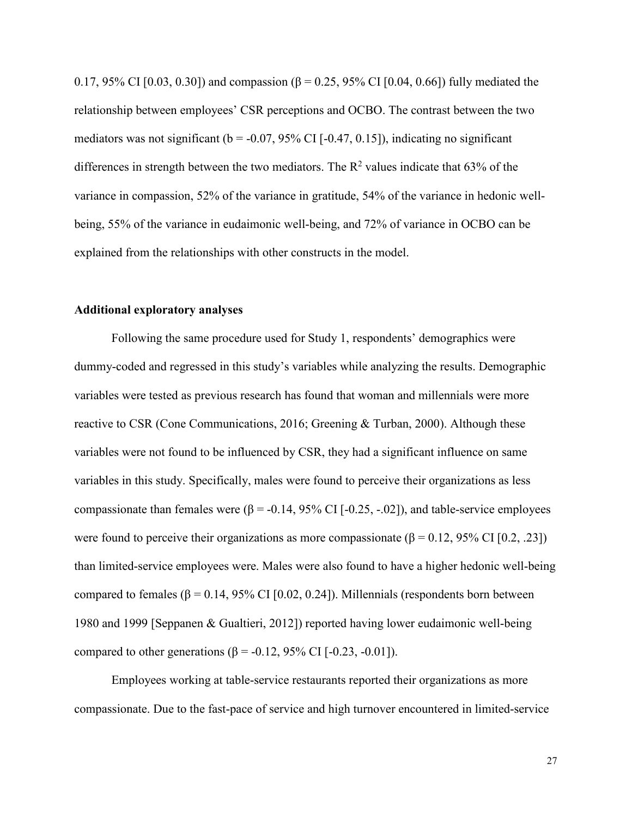0.17, 95% CI [0.03, 0.30]) and compassion (β = 0.25, 95% CI [0.04, 0.66]) fully mediated the relationship between employees' CSR perceptions and OCBO. The contrast between the two mediators was not significant ( $b = -0.07, 95\%$  CI [ $-0.47, 0.15$ ]), indicating no significant differences in strength between the two mediators. The  $R^2$  values indicate that 63% of the variance in compassion, 52% of the variance in gratitude, 54% of the variance in hedonic wellbeing, 55% of the variance in eudaimonic well-being, and 72% of variance in OCBO can be explained from the relationships with other constructs in the model.

### **Additional exploratory analyses**

Following the same procedure used for Study 1, respondents' demographics were dummy-coded and regressed in this study's variables while analyzing the results. Demographic variables were tested as previous research has found that woman and millennials were more reactive to CSR (Cone Communications, 2016; Greening & Turban, 2000). Although these variables were not found to be influenced by CSR, they had a significant influence on same variables in this study. Specifically, males were found to perceive their organizations as less compassionate than females were  $(β = -0.14, 95% \text{ CI} [-0.25, -.02])$ , and table-service employees were found to perceive their organizations as more compassionate ( $\beta = 0.12, 95\%$  CI [0.2, .23]) than limited-service employees were. Males were also found to have a higher hedonic well-being compared to females ( $β = 0.14$ , 95% CI [0.02, 0.24]). Millennials (respondents born between 1980 and 1999 [Seppanen & Gualtieri, 2012]) reported having lower eudaimonic well-being compared to other generations (β = -0.12, 95% CI [-0.23, -0.01]).

Employees working at table-service restaurants reported their organizations as more compassionate. Due to the fast-pace of service and high turnover encountered in limited-service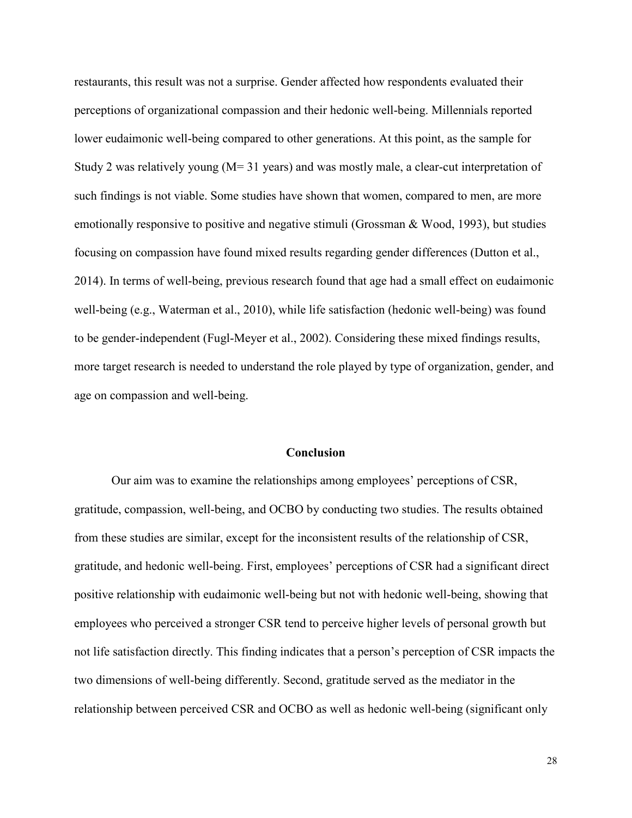restaurants, this result was not a surprise. Gender affected how respondents evaluated their perceptions of organizational compassion and their hedonic well-being. Millennials reported lower eudaimonic well-being compared to other generations. At this point, as the sample for Study 2 was relatively young (M= 31 years) and was mostly male, a clear-cut interpretation of such findings is not viable. Some studies have shown that women, compared to men, are more emotionally responsive to positive and negative stimuli (Grossman & Wood, 1993), but studies focusing on compassion have found mixed results regarding gender differences (Dutton et al., 2014). In terms of well-being, previous research found that age had a small effect on eudaimonic well-being (e.g., Waterman et al., 2010), while life satisfaction (hedonic well-being) was found to be gender-independent (Fugl-Meyer et al., 2002). Considering these mixed findings results, more target research is needed to understand the role played by type of organization, gender, and age on compassion and well-being.

#### **Conclusion**

Our aim was to examine the relationships among employees' perceptions of CSR, gratitude, compassion, well-being, and OCBO by conducting two studies. The results obtained from these studies are similar, except for the inconsistent results of the relationship of CSR, gratitude, and hedonic well-being. First, employees' perceptions of CSR had a significant direct positive relationship with eudaimonic well-being but not with hedonic well-being, showing that employees who perceived a stronger CSR tend to perceive higher levels of personal growth but not life satisfaction directly. This finding indicates that a person's perception of CSR impacts the two dimensions of well-being differently. Second, gratitude served as the mediator in the relationship between perceived CSR and OCBO as well as hedonic well-being (significant only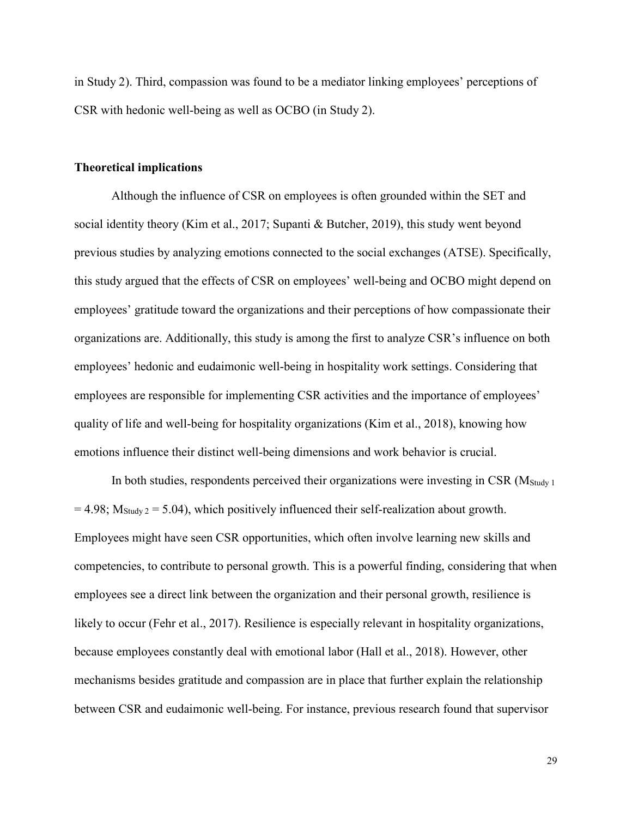in Study 2). Third, compassion was found to be a mediator linking employees' perceptions of CSR with hedonic well-being as well as OCBO (in Study 2).

# **Theoretical implications**

Although the influence of CSR on employees is often grounded within the SET and social identity theory (Kim et al., 2017; Supanti & Butcher, 2019), this study went beyond previous studies by analyzing emotions connected to the social exchanges (ATSE). Specifically, this study argued that the effects of CSR on employees' well-being and OCBO might depend on employees' gratitude toward the organizations and their perceptions of how compassionate their organizations are. Additionally, this study is among the first to analyze CSR's influence on both employees' hedonic and eudaimonic well-being in hospitality work settings. Considering that employees are responsible for implementing CSR activities and the importance of employees' quality of life and well-being for hospitality organizations (Kim et al., 2018), knowing how emotions influence their distinct well-being dimensions and work behavior is crucial.

In both studies, respondents perceived their organizations were investing in CSR  $(M_{\text{Study 1}})$  $= 4.98$ ;  $M_{\text{Study 2}} = 5.04$ ), which positively influenced their self-realization about growth. Employees might have seen CSR opportunities, which often involve learning new skills and competencies, to contribute to personal growth. This is a powerful finding, considering that when employees see a direct link between the organization and their personal growth, resilience is likely to occur (Fehr et al., 2017). Resilience is especially relevant in hospitality organizations, because employees constantly deal with emotional labor (Hall et al., 2018). However, other mechanisms besides gratitude and compassion are in place that further explain the relationship between CSR and eudaimonic well-being. For instance, previous research found that supervisor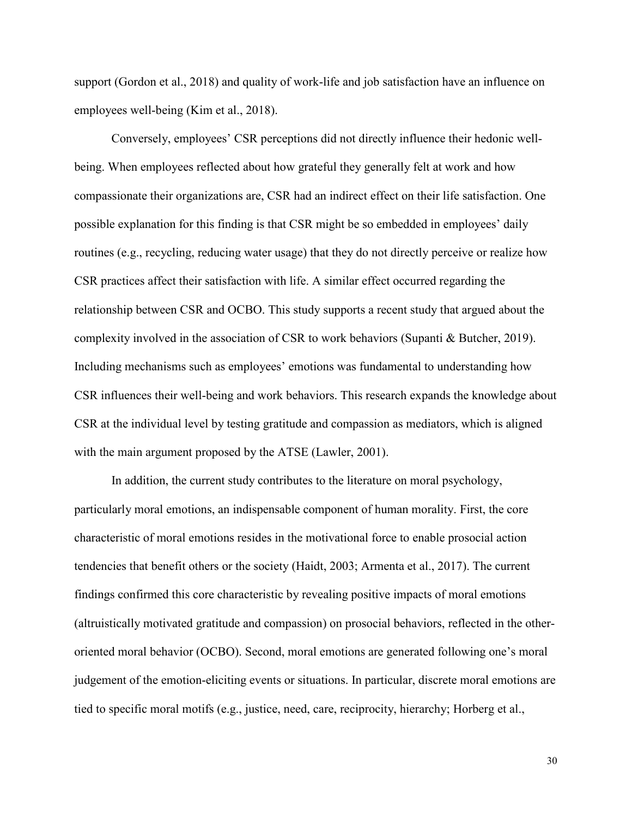support (Gordon et al., 2018) and quality of work-life and job satisfaction have an influence on employees well-being (Kim et al., 2018).

Conversely, employees' CSR perceptions did not directly influence their hedonic wellbeing. When employees reflected about how grateful they generally felt at work and how compassionate their organizations are, CSR had an indirect effect on their life satisfaction. One possible explanation for this finding is that CSR might be so embedded in employees' daily routines (e.g., recycling, reducing water usage) that they do not directly perceive or realize how CSR practices affect their satisfaction with life. A similar effect occurred regarding the relationship between CSR and OCBO. This study supports a recent study that argued about the complexity involved in the association of CSR to work behaviors (Supanti & Butcher, 2019). Including mechanisms such as employees' emotions was fundamental to understanding how CSR influences their well-being and work behaviors. This research expands the knowledge about CSR at the individual level by testing gratitude and compassion as mediators, which is aligned with the main argument proposed by the ATSE (Lawler, 2001).

In addition, the current study contributes to the literature on moral psychology, particularly moral emotions, an indispensable component of human morality. First, the core characteristic of moral emotions resides in the motivational force to enable prosocial action tendencies that benefit others or the society (Haidt, 2003; Armenta et al., 2017). The current findings confirmed this core characteristic by revealing positive impacts of moral emotions (altruistically motivated gratitude and compassion) on prosocial behaviors, reflected in the otheroriented moral behavior (OCBO). Second, moral emotions are generated following one's moral judgement of the emotion-eliciting events or situations. In particular, discrete moral emotions are tied to specific moral motifs (e.g., justice, need, care, reciprocity, hierarchy; Horberg et al.,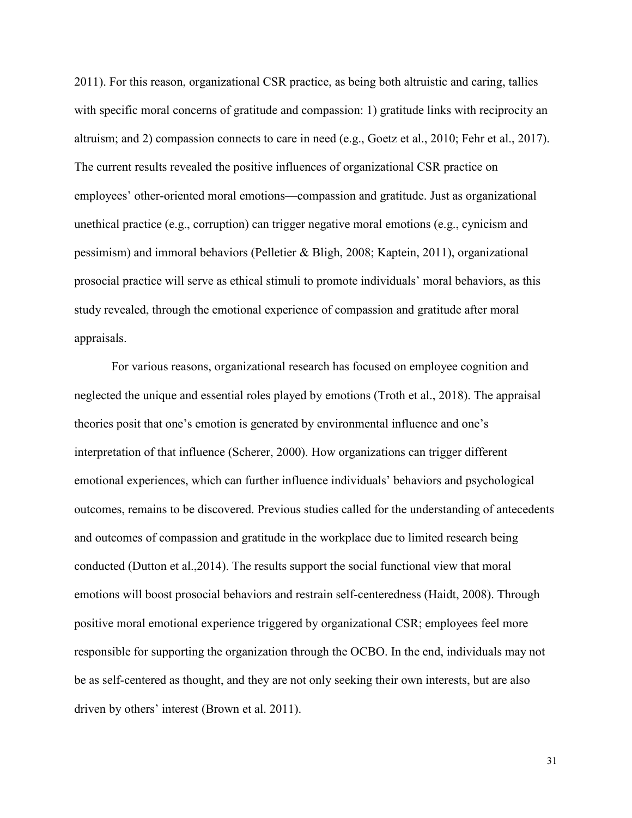2011). For this reason, organizational CSR practice, as being both altruistic and caring, tallies with specific moral concerns of gratitude and compassion: 1) gratitude links with reciprocity an altruism; and 2) compassion connects to care in need (e.g., Goetz et al., 2010; Fehr et al., 2017). The current results revealed the positive influences of organizational CSR practice on employees' other-oriented moral emotions—compassion and gratitude. Just as organizational unethical practice (e.g., corruption) can trigger negative moral emotions (e.g., cynicism and pessimism) and immoral behaviors (Pelletier & Bligh, 2008; Kaptein, 2011), organizational prosocial practice will serve as ethical stimuli to promote individuals' moral behaviors, as this study revealed, through the emotional experience of compassion and gratitude after moral appraisals.

For various reasons, organizational research has focused on employee cognition and neglected the unique and essential roles played by emotions (Troth et al., 2018). The appraisal theories posit that one's emotion is generated by environmental influence and one's interpretation of that influence (Scherer, 2000). How organizations can trigger different emotional experiences, which can further influence individuals' behaviors and psychological outcomes, remains to be discovered. Previous studies called for the understanding of antecedents and outcomes of compassion and gratitude in the workplace due to limited research being conducted (Dutton et al.,2014). The results support the social functional view that moral emotions will boost prosocial behaviors and restrain self-centeredness (Haidt, 2008). Through positive moral emotional experience triggered by organizational CSR; employees feel more responsible for supporting the organization through the OCBO. In the end, individuals may not be as self-centered as thought, and they are not only seeking their own interests, but are also driven by others' interest (Brown et al. 2011).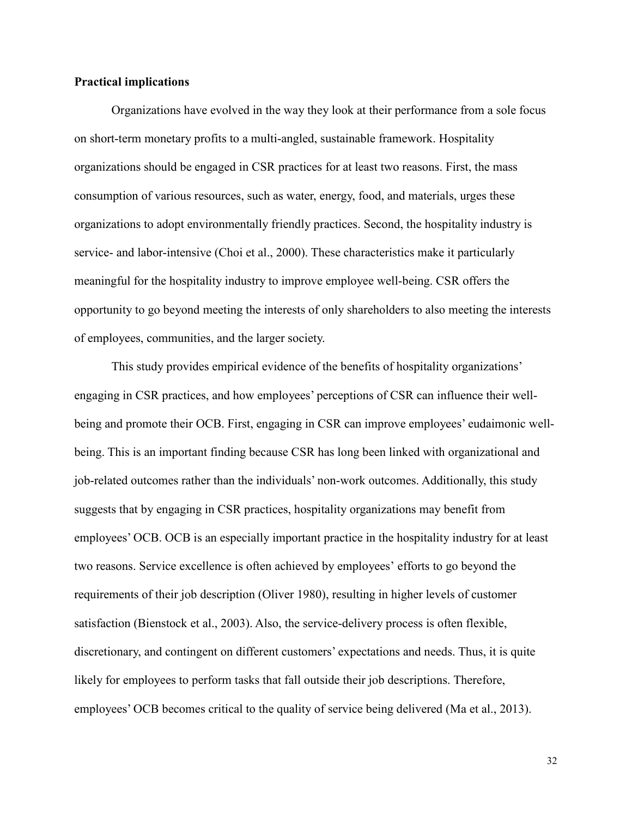# **Practical implications**

Organizations have evolved in the way they look at their performance from a sole focus on short-term monetary profits to a multi-angled, sustainable framework. Hospitality organizations should be engaged in CSR practices for at least two reasons. First, the mass consumption of various resources, such as water, energy, food, and materials, urges these organizations to adopt environmentally friendly practices. Second, the hospitality industry is service- and labor-intensive (Choi et al., 2000). These characteristics make it particularly meaningful for the hospitality industry to improve employee well-being. CSR offers the opportunity to go beyond meeting the interests of only shareholders to also meeting the interests of employees, communities, and the larger society.

This study provides empirical evidence of the benefits of hospitality organizations' engaging in CSR practices, and how employees' perceptions of CSR can influence their wellbeing and promote their OCB. First, engaging in CSR can improve employees' eudaimonic wellbeing. This is an important finding because CSR has long been linked with organizational and job-related outcomes rather than the individuals' non-work outcomes. Additionally, this study suggests that by engaging in CSR practices, hospitality organizations may benefit from employees' OCB. OCB is an especially important practice in the hospitality industry for at least two reasons. Service excellence is often achieved by employees' efforts to go beyond the requirements of their job description (Oliver 1980), resulting in higher levels of customer satisfaction (Bienstock et al., 2003). Also, the service-delivery process is often flexible, discretionary, and contingent on different customers' expectations and needs. Thus, it is quite likely for employees to perform tasks that fall outside their job descriptions. Therefore, employees' OCB becomes critical to the quality of service being delivered (Ma et al., 2013).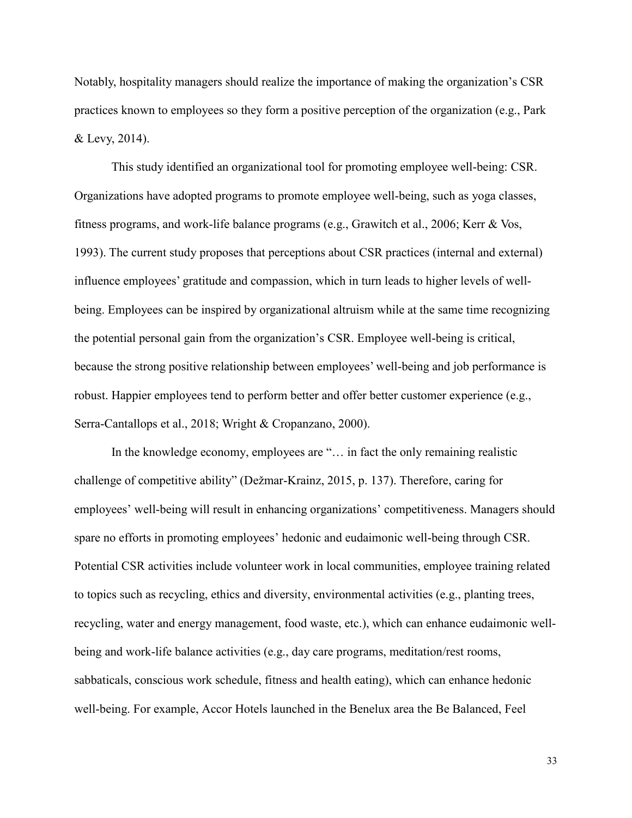Notably, hospitality managers should realize the importance of making the organization's CSR practices known to employees so they form a positive perception of the organization (e.g., Park & Levy, 2014).

This study identified an organizational tool for promoting employee well-being: CSR. Organizations have adopted programs to promote employee well-being, such as yoga classes, fitness programs, and work-life balance programs (e.g., Grawitch et al., 2006; Kerr & Vos, 1993). The current study proposes that perceptions about CSR practices (internal and external) influence employees' gratitude and compassion, which in turn leads to higher levels of wellbeing. Employees can be inspired by organizational altruism while at the same time recognizing the potential personal gain from the organization's CSR. Employee well-being is critical, because the strong positive relationship between employees' well-being and job performance is robust. Happier employees tend to perform better and offer better customer experience (e.g., Serra-Cantallops et al., 2018; Wright & Cropanzano, 2000).

In the knowledge economy, employees are "… in fact the only remaining realistic challenge of competitive ability" (Dežmar-Krainz, 2015, p. 137). Therefore, caring for employees' well-being will result in enhancing organizations' competitiveness. Managers should spare no efforts in promoting employees' hedonic and eudaimonic well-being through CSR. Potential CSR activities include volunteer work in local communities, employee training related to topics such as recycling, ethics and diversity, environmental activities (e.g., planting trees, recycling, water and energy management, food waste, etc.), which can enhance eudaimonic wellbeing and work-life balance activities (e.g., day care programs, meditation/rest rooms, sabbaticals, conscious work schedule, fitness and health eating), which can enhance hedonic well-being. For example, Accor Hotels launched in the Benelux area the Be Balanced, Feel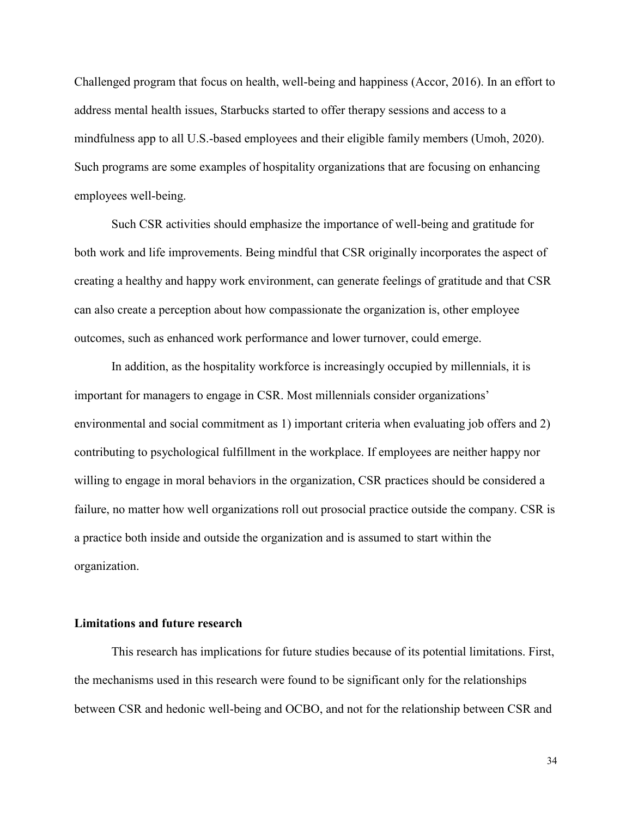Challenged program that focus on health, well-being and happiness (Accor, 2016). In an effort to address mental health issues, Starbucks started to offer therapy sessions and access to a mindfulness app to all U.S.-based employees and their eligible family members (Umoh, 2020). Such programs are some examples of hospitality organizations that are focusing on enhancing employees well-being.

Such CSR activities should emphasize the importance of well-being and gratitude for both work and life improvements. Being mindful that CSR originally incorporates the aspect of creating a healthy and happy work environment, can generate feelings of gratitude and that CSR can also create a perception about how compassionate the organization is, other employee outcomes, such as enhanced work performance and lower turnover, could emerge.

In addition, as the hospitality workforce is increasingly occupied by millennials, it is important for managers to engage in CSR. Most millennials consider organizations' environmental and social commitment as 1) important criteria when evaluating job offers and 2) contributing to psychological fulfillment in the workplace. If employees are neither happy nor willing to engage in moral behaviors in the organization, CSR practices should be considered a failure, no matter how well organizations roll out prosocial practice outside the company. CSR is a practice both inside and outside the organization and is assumed to start within the organization.

# **Limitations and future research**

This research has implications for future studies because of its potential limitations. First, the mechanisms used in this research were found to be significant only for the relationships between CSR and hedonic well-being and OCBO, and not for the relationship between CSR and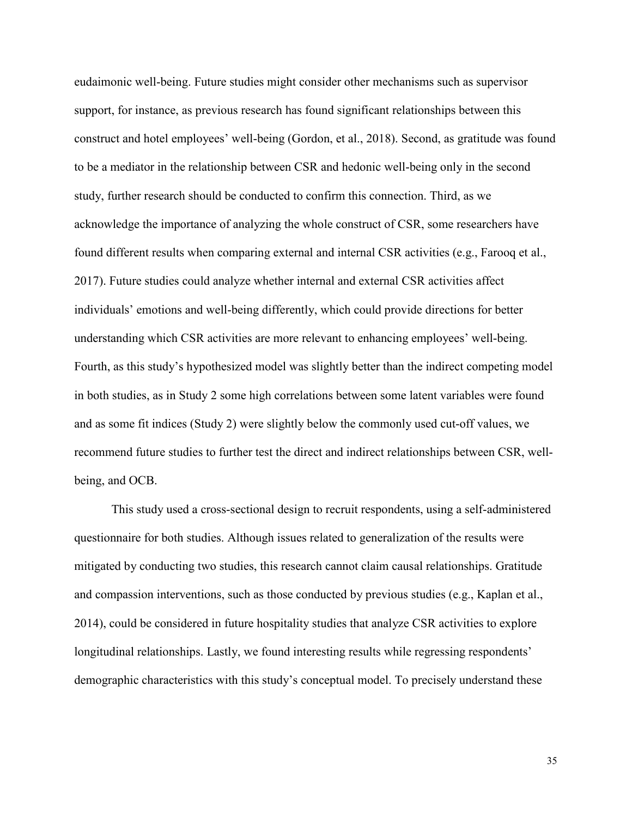eudaimonic well-being. Future studies might consider other mechanisms such as supervisor support, for instance, as previous research has found significant relationships between this construct and hotel employees' well-being (Gordon, et al., 2018). Second, as gratitude was found to be a mediator in the relationship between CSR and hedonic well-being only in the second study, further research should be conducted to confirm this connection. Third, as we acknowledge the importance of analyzing the whole construct of CSR, some researchers have found different results when comparing external and internal CSR activities (e.g., Farooq et al., 2017). Future studies could analyze whether internal and external CSR activities affect individuals' emotions and well-being differently, which could provide directions for better understanding which CSR activities are more relevant to enhancing employees' well-being. Fourth, as this study's hypothesized model was slightly better than the indirect competing model in both studies, as in Study 2 some high correlations between some latent variables were found and as some fit indices (Study 2) were slightly below the commonly used cut-off values, we recommend future studies to further test the direct and indirect relationships between CSR, wellbeing, and OCB.

This study used a cross-sectional design to recruit respondents, using a self-administered questionnaire for both studies. Although issues related to generalization of the results were mitigated by conducting two studies, this research cannot claim causal relationships. Gratitude and compassion interventions, such as those conducted by previous studies (e.g., Kaplan et al., 2014), could be considered in future hospitality studies that analyze CSR activities to explore longitudinal relationships. Lastly, we found interesting results while regressing respondents' demographic characteristics with this study's conceptual model. To precisely understand these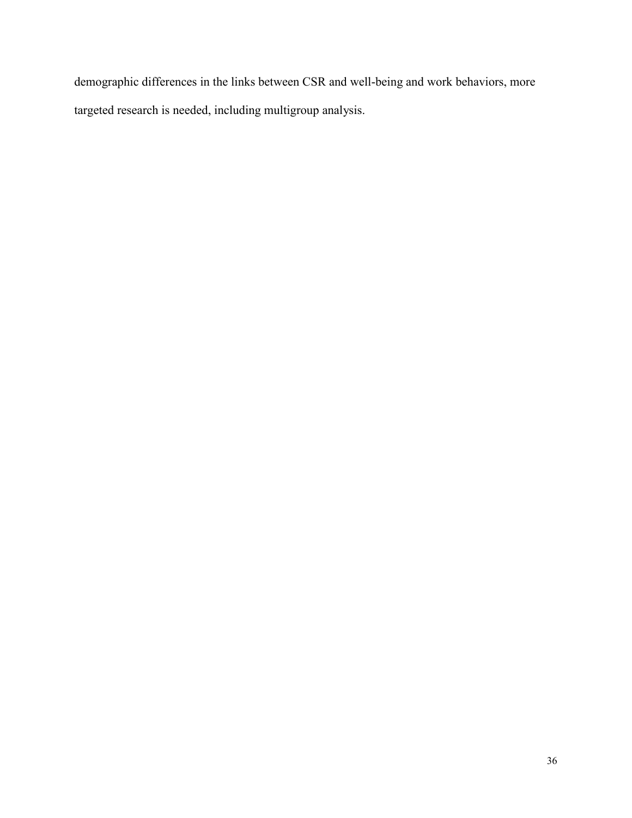demographic differences in the links between CSR and well-being and work behaviors, more targeted research is needed, including multigroup analysis.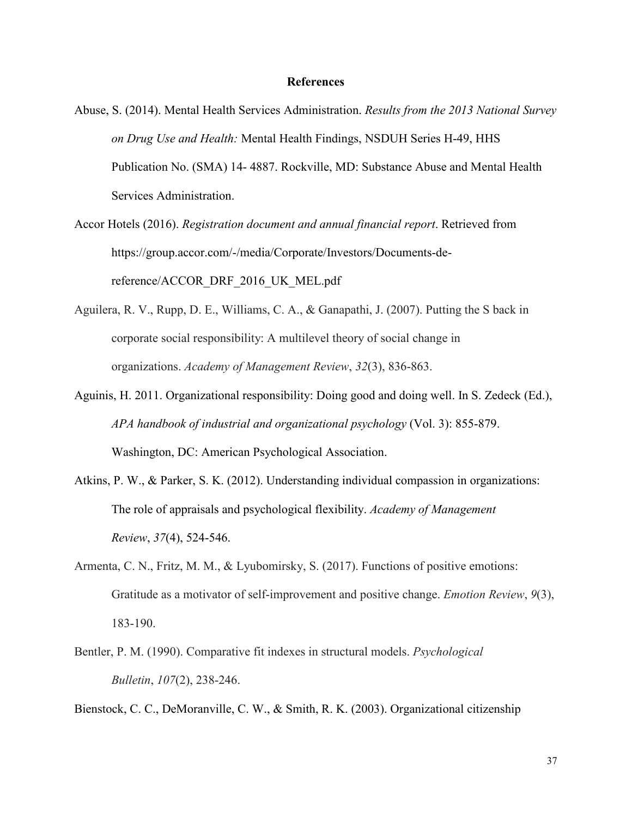#### **References**

- Abuse, S. (2014). Mental Health Services Administration. *Results from the 2013 National Survey on Drug Use and Health:* Mental Health Findings, NSDUH Series H-49, HHS Publication No. (SMA) 14- 4887. Rockville, MD: Substance Abuse and Mental Health Services Administration.
- Accor Hotels (2016). *Registration document and annual financial report*. Retrieved from https://group.accor.com/-/media/Corporate/Investors/Documents-dereference/ACCOR\_DRF\_2016\_UK\_MEL.pdf
- Aguilera, R. V., Rupp, D. E., Williams, C. A., & Ganapathi, J. (2007). Putting the S back in corporate social responsibility: A multilevel theory of social change in organizations. *Academy of Management Review*, *32*(3), 836-863.
- Aguinis, H. 2011. Organizational responsibility: Doing good and doing well. In S. Zedeck (Ed.), *APA handbook of industrial and organizational psychology* (Vol. 3): 855-879. Washington, DC: American Psychological Association.
- Atkins, P. W., & Parker, S. K. (2012). Understanding individual compassion in organizations: The role of appraisals and psychological flexibility. *Academy of Management Review*, *37*(4), 524-546.
- Armenta, C. N., Fritz, M. M., & Lyubomirsky, S. (2017). Functions of positive emotions: Gratitude as a motivator of self-improvement and positive change. *Emotion Review*, *9*(3), 183-190.
- Bentler, P. M. (1990). Comparative fit indexes in structural models. *Psychological Bulletin*, *107*(2), 238-246.

Bienstock, C. C., DeMoranville, C. W., & Smith, R. K. (2003). Organizational citizenship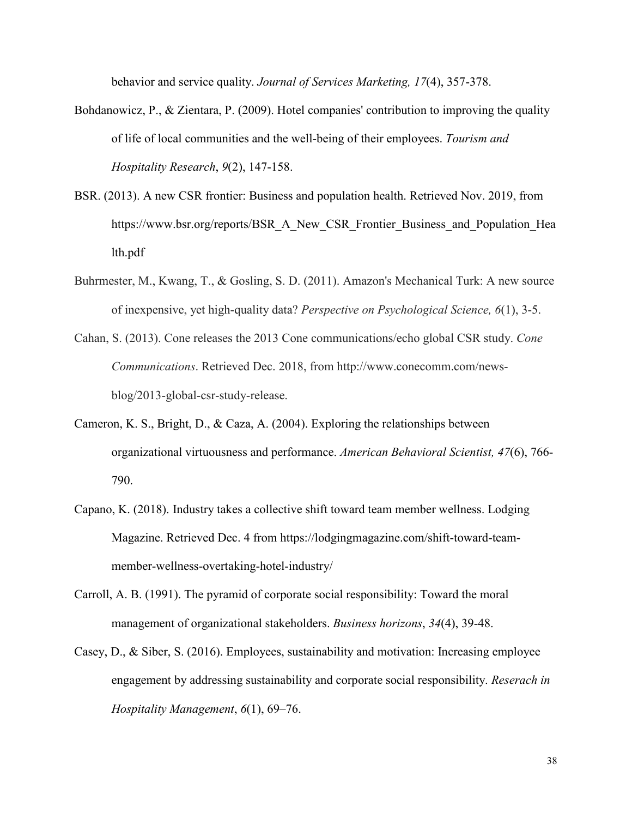behavior and service quality. *Journal of Services Marketing, 17*(4), 357-378.

- Bohdanowicz, P., & Zientara, P. (2009). Hotel companies' contribution to improving the quality of life of local communities and the well-being of their employees. *Tourism and Hospitality Research*, *9*(2), 147-158.
- BSR. (2013). A new CSR frontier: Business and population health. Retrieved Nov. 2019, from https://www.bsr.org/reports/BSR\_A\_New\_CSR\_Frontier\_Business\_and\_Population\_Hea lth.pdf
- Buhrmester, M., Kwang, T., & Gosling, S. D. (2011). Amazon's Mechanical Turk: A new source of inexpensive, yet high-quality data? *Perspective on Psychological Science, 6*(1), 3-5.
- Cahan, S. (2013). Cone releases the 2013 Cone communications/echo global CSR study. *Cone Communications*. Retrieved Dec. 2018, from http://www.conecomm.com/newsblog/2013-global-csr-study-release.
- Cameron, K. S., Bright, D., & Caza, A. (2004). Exploring the relationships between organizational virtuousness and performance. *American Behavioral Scientist, 47*(6), 766- 790.
- Capano, K. (2018). Industry takes a collective shift toward team member wellness. Lodging Magazine. Retrieved Dec. 4 from https://lodgingmagazine.com/shift-toward-teammember-wellness-overtaking-hotel-industry/
- Carroll, A. B. (1991). The pyramid of corporate social responsibility: Toward the moral management of organizational stakeholders. *Business horizons*, *34*(4), 39-48.
- Casey, D., & Siber, S. (2016). Employees, sustainability and motivation: Increasing employee engagement by addressing sustainability and corporate social responsibility. *Reserach in Hospitality Management*, *6*(1), 69–76.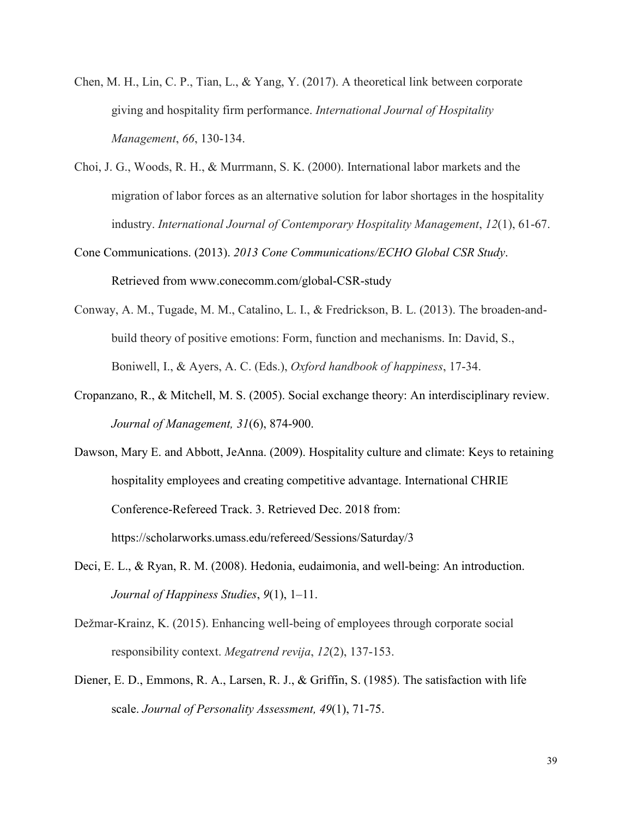- Chen, M. H., Lin, C. P., Tian, L., & Yang, Y. (2017). A theoretical link between corporate giving and hospitality firm performance. *International Journal of Hospitality Management*, *66*, 130-134.
- Choi, J. G., Woods, R. H., & Murrmann, S. K. (2000). International labor markets and the migration of labor forces as an alternative solution for labor shortages in the hospitality industry. *International Journal of Contemporary Hospitality Management*, *12*(1), 61-67.
- Cone Communications. (2013). *2013 Cone Communications/ECHO Global CSR Study*. Retrieved from www.conecomm.com/global-CSR-study
- Conway, A. M., Tugade, M. M., Catalino, L. I., & Fredrickson, B. L. (2013). The broaden-andbuild theory of positive emotions: Form, function and mechanisms. In: David, S., Boniwell, I., & Ayers, A. C. (Eds.), *Oxford handbook of happiness*, 17-34.
- Cropanzano, R., & Mitchell, M. S. (2005). Social exchange theory: An interdisciplinary review. *Journal of Management, 31*(6), 874-900.
- Dawson, Mary E. and Abbott, JeAnna. (2009). Hospitality culture and climate: Keys to retaining hospitality employees and creating competitive advantage. International CHRIE Conference-Refereed Track. 3. Retrieved Dec. 2018 from: https://scholarworks.umass.edu/refereed/Sessions/Saturday/3
- Deci, E. L., & Ryan, R. M. (2008). Hedonia, eudaimonia, and well-being: An introduction. *Journal of Happiness Studies*, *9*(1), 1–11.
- Dežmar-Krainz, K. (2015). Enhancing well-being of employees through corporate social responsibility context. *Megatrend revija*, *12*(2), 137-153.
- Diener, E. D., Emmons, R. A., Larsen, R. J., & Griffin, S. (1985). The satisfaction with life scale. *Journal of Personality Assessment, 49*(1), 71-75.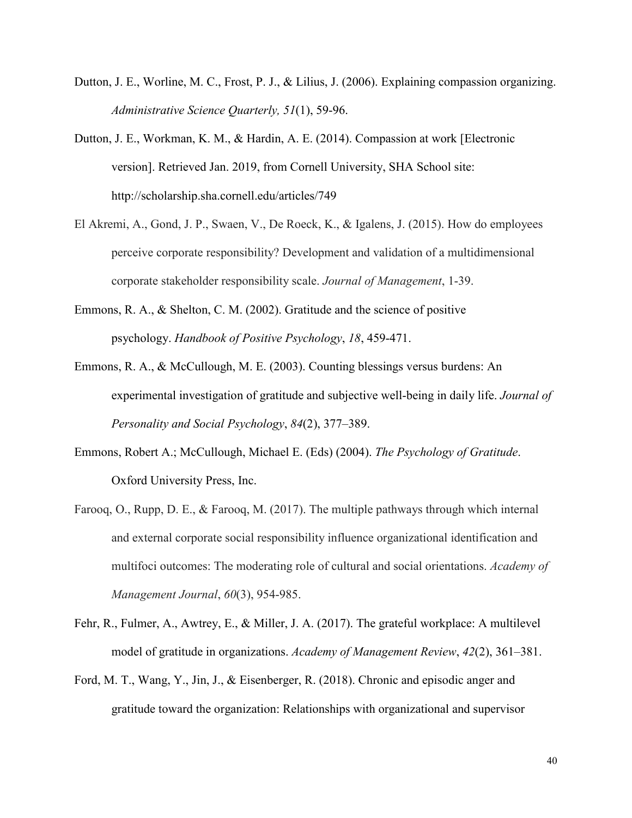- Dutton, J. E., Worline, M. C., Frost, P. J., & Lilius, J. (2006). Explaining compassion organizing. *Administrative Science Quarterly, 51*(1), 59-96.
- Dutton, J. E., Workman, K. M., & Hardin, A. E. (2014). Compassion at work [Electronic version]. Retrieved Jan. 2019, from Cornell University, SHA School site: http://scholarship.sha.cornell.edu/articles/749
- El Akremi, A., Gond, J. P., Swaen, V., De Roeck, K., & Igalens, J. (2015). How do employees perceive corporate responsibility? Development and validation of a multidimensional corporate stakeholder responsibility scale. *Journal of Management*, 1-39.
- Emmons, R. A., & Shelton, C. M. (2002). Gratitude and the science of positive psychology. *Handbook of Positive Psychology*, *18*, 459-471.
- Emmons, R. A., & McCullough, M. E. (2003). Counting blessings versus burdens: An experimental investigation of gratitude and subjective well-being in daily life. *Journal of Personality and Social Psychology*, *84*(2), 377–389.
- Emmons, Robert A.; McCullough, Michael E. (Eds) (2004). *The Psychology of Gratitude*. Oxford University Press, Inc.
- Farooq, O., Rupp, D. E., & Farooq, M. (2017). The multiple pathways through which internal and external corporate social responsibility influence organizational identification and multifoci outcomes: The moderating role of cultural and social orientations. *Academy of Management Journal*, *60*(3), 954-985.
- Fehr, R., Fulmer, A., Awtrey, E., & Miller, J. A. (2017). The grateful workplace: A multilevel model of gratitude in organizations. *Academy of Management Review*, *42*(2), 361–381.
- Ford, M. T., Wang, Y., Jin, J., & Eisenberger, R. (2018). Chronic and episodic anger and gratitude toward the organization: Relationships with organizational and supervisor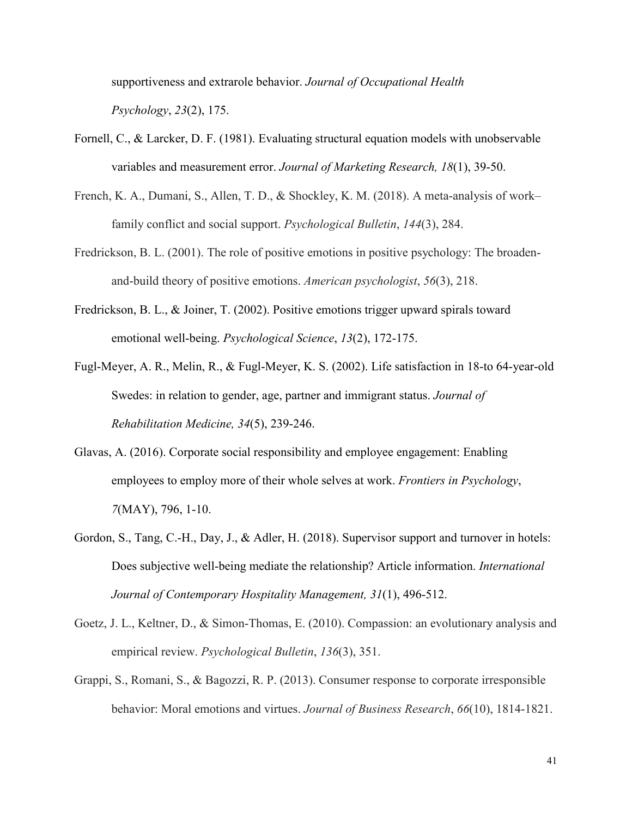supportiveness and extrarole behavior. *Journal of Occupational Health Psychology*, *23*(2), 175.

- Fornell, C., & Larcker, D. F. (1981). Evaluating structural equation models with unobservable variables and measurement error. *Journal of Marketing Research, 18*(1), 39-50.
- French, K. A., Dumani, S., Allen, T. D., & Shockley, K. M. (2018). A meta-analysis of work– family conflict and social support. *Psychological Bulletin*, *144*(3), 284.
- Fredrickson, B. L. (2001). The role of positive emotions in positive psychology: The broadenand-build theory of positive emotions. *American psychologist*, *56*(3), 218.
- Fredrickson, B. L., & Joiner, T. (2002). Positive emotions trigger upward spirals toward emotional well-being. *Psychological Science*, *13*(2), 172-175.
- Fugl-Meyer, A. R., Melin, R., & Fugl-Meyer, K. S. (2002). Life satisfaction in 18-to 64-year-old Swedes: in relation to gender, age, partner and immigrant status. *Journal of Rehabilitation Medicine, 34*(5), 239-246.
- Glavas, A. (2016). Corporate social responsibility and employee engagement: Enabling employees to employ more of their whole selves at work. *Frontiers in Psychology*, *7*(MAY), 796, 1-10.
- Gordon, S., Tang, C.-H., Day, J., & Adler, H. (2018). Supervisor support and turnover in hotels: Does subjective well-being mediate the relationship? Article information. *International Journal of Contemporary Hospitality Management, 31*(1), 496-512.
- Goetz, J. L., Keltner, D., & Simon-Thomas, E. (2010). Compassion: an evolutionary analysis and empirical review. *Psychological Bulletin*, *136*(3), 351.
- Grappi, S., Romani, S., & Bagozzi, R. P. (2013). Consumer response to corporate irresponsible behavior: Moral emotions and virtues. *Journal of Business Research*, *66*(10), 1814-1821.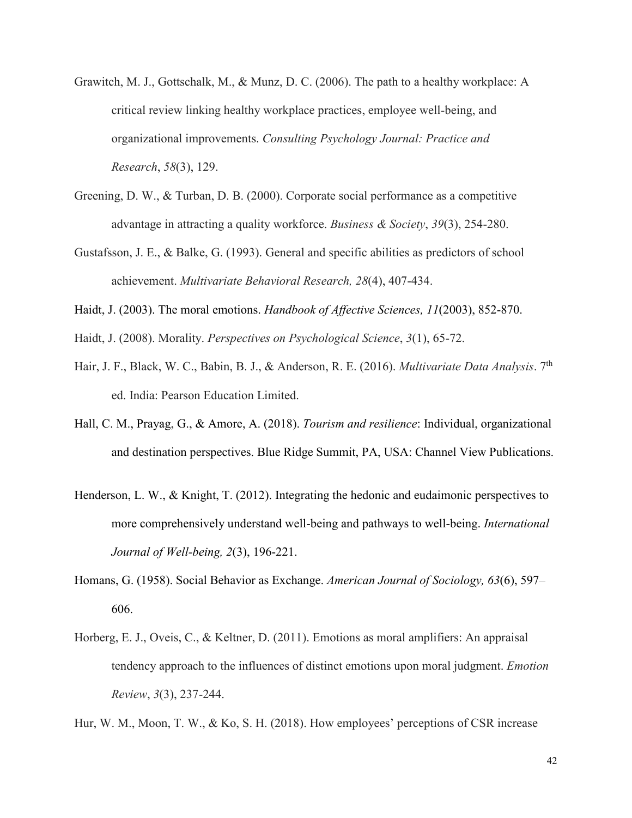- Grawitch, M. J., Gottschalk, M., & Munz, D. C. (2006). The path to a healthy workplace: A critical review linking healthy workplace practices, employee well-being, and organizational improvements. *Consulting Psychology Journal: Practice and Research*, *58*(3), 129.
- Greening, D. W., & Turban, D. B. (2000). Corporate social performance as a competitive advantage in attracting a quality workforce. *Business & Society*, *39*(3), 254-280.
- Gustafsson, J. E., & Balke, G. (1993). General and specific abilities as predictors of school achievement. *Multivariate Behavioral Research, 28*(4), 407-434.
- Haidt, J. (2003). The moral emotions. *Handbook of Affective Sciences, 11*(2003), 852-870.
- Haidt, J. (2008). Morality. *Perspectives on Psychological Science*, *3*(1), 65-72.
- Hair, J. F., Black, W. C., Babin, B. J., & Anderson, R. E. (2016). *Multivariate Data Analysis*. 7th ed. India: Pearson Education Limited.
- Hall, C. M., Prayag, G., & Amore, A. (2018). *Tourism and resilience*: Individual, organizational and destination perspectives. Blue Ridge Summit, PA, USA: Channel View Publications.
- Henderson, L. W., & Knight, T. (2012). Integrating the hedonic and eudaimonic perspectives to more comprehensively understand well-being and pathways to well-being. *International Journal of Well-being, 2*(3), 196-221.
- Homans, G. (1958). Social Behavior as Exchange. *American Journal of Sociology, 63*(6), 597– 606.
- Horberg, E. J., Oveis, C., & Keltner, D. (2011). Emotions as moral amplifiers: An appraisal tendency approach to the influences of distinct emotions upon moral judgment. *Emotion Review*, *3*(3), 237-244.

Hur, W. M., Moon, T. W., & Ko, S. H. (2018). How employees' perceptions of CSR increase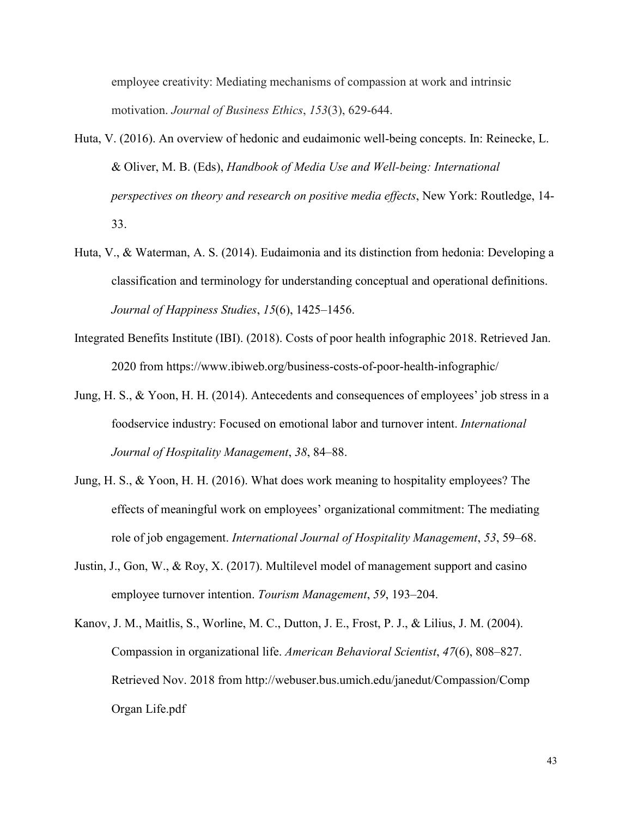employee creativity: Mediating mechanisms of compassion at work and intrinsic motivation. *Journal of Business Ethics*, *153*(3), 629-644.

- Huta, V. (2016). An overview of hedonic and eudaimonic well-being concepts. In: Reinecke, L. & Oliver, M. B. (Eds), *Handbook of Media Use and Well-being: International perspectives on theory and research on positive media effects*, New York: Routledge, 14- 33.
- Huta, V., & Waterman, A. S. (2014). Eudaimonia and its distinction from hedonia: Developing a classification and terminology for understanding conceptual and operational definitions. *Journal of Happiness Studies*, *15*(6), 1425–1456.
- Integrated Benefits Institute (IBI). (2018). Costs of poor health infographic 2018. Retrieved Jan. 2020 from https://www.ibiweb.org/business-costs-of-poor-health-infographic/
- Jung, H. S., & Yoon, H. H. (2014). Antecedents and consequences of employees' job stress in a foodservice industry: Focused on emotional labor and turnover intent. *International Journal of Hospitality Management*, *38*, 84–88.
- Jung, H. S., & Yoon, H. H. (2016). What does work meaning to hospitality employees? The effects of meaningful work on employees' organizational commitment: The mediating role of job engagement. *International Journal of Hospitality Management*, *53*, 59–68.
- Justin, J., Gon, W., & Roy, X. (2017). Multilevel model of management support and casino employee turnover intention. *Tourism Management*, *59*, 193–204.
- Kanov, J. M., Maitlis, S., Worline, M. C., Dutton, J. E., Frost, P. J., & Lilius, J. M. (2004). Compassion in organizational life. *American Behavioral Scientist*, *47*(6), 808–827. Retrieved Nov. 2018 from http://webuser.bus.umich.edu/janedut/Compassion/Comp Organ Life.pdf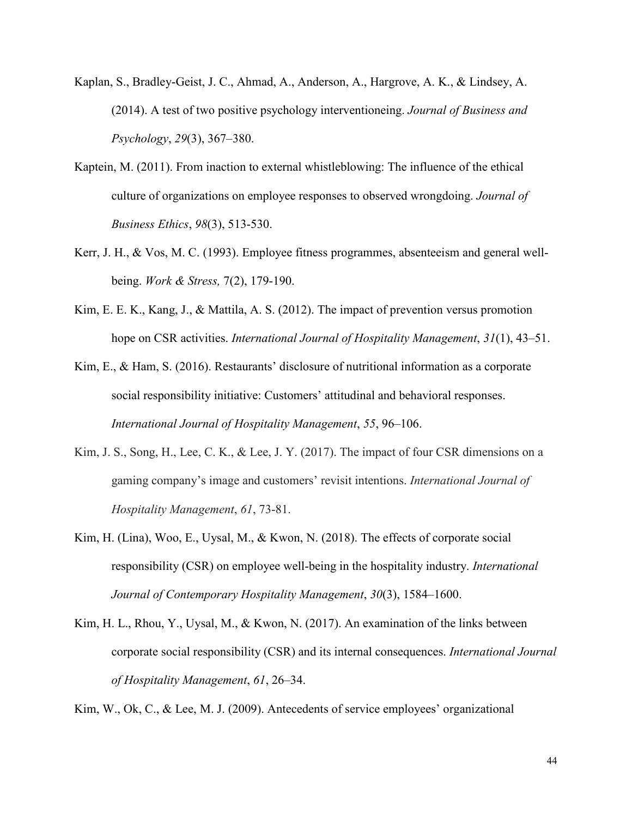- Kaplan, S., Bradley-Geist, J. C., Ahmad, A., Anderson, A., Hargrove, A. K., & Lindsey, A. (2014). A test of two positive psychology interventioneing. *Journal of Business and Psychology*, *29*(3), 367–380.
- Kaptein, M. (2011). From inaction to external whistleblowing: The influence of the ethical culture of organizations on employee responses to observed wrongdoing. *Journal of Business Ethics*, *98*(3), 513-530.
- Kerr, J. H., & Vos, M. C. (1993). Employee fitness programmes, absenteeism and general wellbeing. *Work & Stress,* 7(2), 179-190.
- Kim, E. E. K., Kang, J., & Mattila, A. S. (2012). The impact of prevention versus promotion hope on CSR activities. *International Journal of Hospitality Management*, *31*(1), 43–51.
- Kim, E., & Ham, S. (2016). Restaurants' disclosure of nutritional information as a corporate social responsibility initiative: Customers' attitudinal and behavioral responses. *International Journal of Hospitality Management*, *55*, 96–106.
- Kim, J. S., Song, H., Lee, C. K., & Lee, J. Y. (2017). The impact of four CSR dimensions on a gaming company's image and customers' revisit intentions. *International Journal of Hospitality Management*, *61*, 73-81.
- Kim, H. (Lina), Woo, E., Uysal, M., & Kwon, N. (2018). The effects of corporate social responsibility (CSR) on employee well-being in the hospitality industry. *International Journal of Contemporary Hospitality Management*, *30*(3), 1584–1600.
- Kim, H. L., Rhou, Y., Uysal, M., & Kwon, N. (2017). An examination of the links between corporate social responsibility (CSR) and its internal consequences. *International Journal of Hospitality Management*, *61*, 26–34.

Kim, W., Ok, C., & Lee, M. J. (2009). Antecedents of service employees' organizational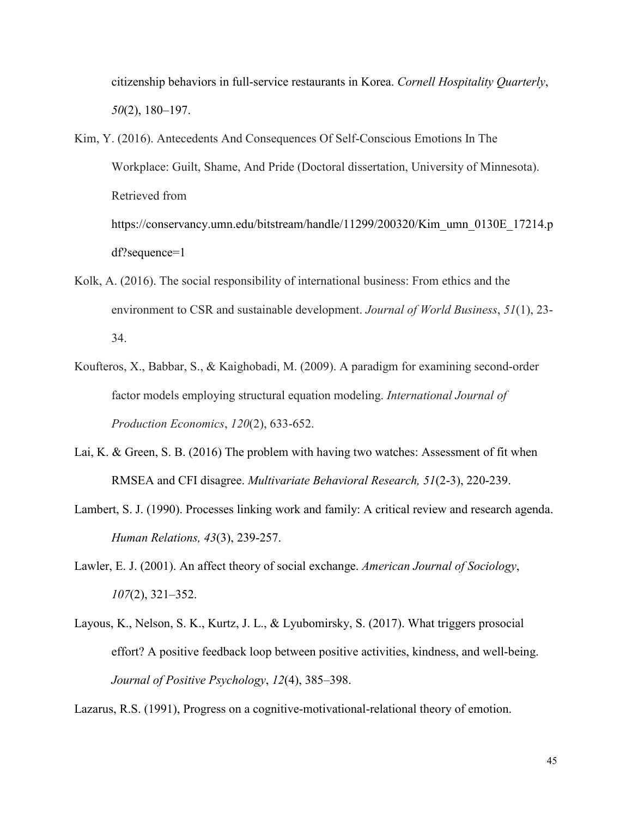citizenship behaviors in full-service restaurants in Korea. *Cornell Hospitality Quarterly*, *50*(2), 180–197.

- Kim, Y. (2016). Antecedents And Consequences Of Self-Conscious Emotions In The Workplace: Guilt, Shame, And Pride (Doctoral dissertation, University of Minnesota). Retrieved from https://conservancy.umn.edu/bitstream/handle/11299/200320/Kim\_umn\_0130E\_17214.p df?sequence=1
- Kolk, A. (2016). The social responsibility of international business: From ethics and the environment to CSR and sustainable development. *Journal of World Business*, *51*(1), 23- 34.
- Koufteros, X., Babbar, S., & Kaighobadi, M. (2009). A paradigm for examining second-order factor models employing structural equation modeling. *International Journal of Production Economics*, *120*(2), 633-652.
- Lai, K. & Green, S. B. (2016) The problem with having two watches: Assessment of fit when RMSEA and CFI disagree. *Multivariate Behavioral Research, 51*(2-3), 220-239.
- Lambert, S. J. (1990). Processes linking work and family: A critical review and research agenda. *Human Relations, 43*(3), 239-257.
- Lawler, E. J. (2001). An affect theory of social exchange. *American Journal of Sociology*, *107*(2), 321–352.
- Layous, K., Nelson, S. K., Kurtz, J. L., & Lyubomirsky, S. (2017). What triggers prosocial effort? A positive feedback loop between positive activities, kindness, and well-being. *Journal of Positive Psychology*, *12*(4), 385–398.

Lazarus, R.S. (1991), Progress on a cognitive-motivational-relational theory of emotion.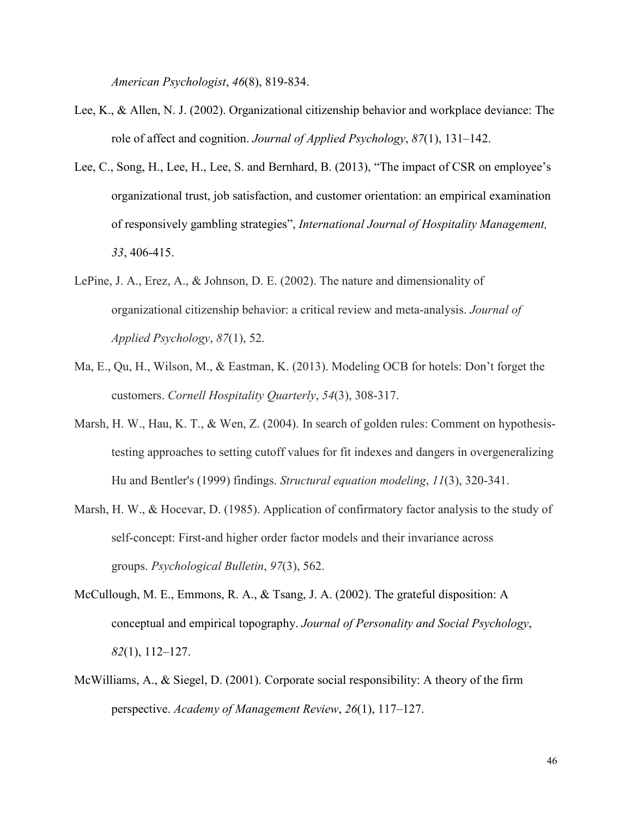*American Psychologist*, *46*(8), 819-834.

- Lee, K., & Allen, N. J. (2002). Organizational citizenship behavior and workplace deviance: The role of affect and cognition. *Journal of Applied Psychology*, *87*(1), 131–142.
- Lee, C., Song, H., Lee, H., Lee, S. and Bernhard, B. (2013), "The impact of CSR on employee's organizational trust, job satisfaction, and customer orientation: an empirical examination of responsively gambling strategies", *International Journal of Hospitality Management, 33*, 406-415.
- LePine, J. A., Erez, A., & Johnson, D. E. (2002). The nature and dimensionality of organizational citizenship behavior: a critical review and meta-analysis. *Journal of Applied Psychology*, *87*(1), 52.
- Ma, E., Qu, H., Wilson, M., & Eastman, K. (2013). Modeling OCB for hotels: Don't forget the customers. *Cornell Hospitality Quarterly*, *54*(3), 308-317.
- Marsh, H. W., Hau, K. T., & Wen, Z. (2004). In search of golden rules: Comment on hypothesistesting approaches to setting cutoff values for fit indexes and dangers in overgeneralizing Hu and Bentler's (1999) findings. *Structural equation modeling*, *11*(3), 320-341.
- Marsh, H. W., & Hocevar, D. (1985). Application of confirmatory factor analysis to the study of self-concept: First-and higher order factor models and their invariance across groups. *Psychological Bulletin*, *97*(3), 562.
- McCullough, M. E., Emmons, R. A., & Tsang, J. A. (2002). The grateful disposition: A conceptual and empirical topography. *Journal of Personality and Social Psychology*, *82*(1), 112–127.
- McWilliams, A., & Siegel, D. (2001). Corporate social responsibility: A theory of the firm perspective. *Academy of Management Review*, *26*(1), 117–127.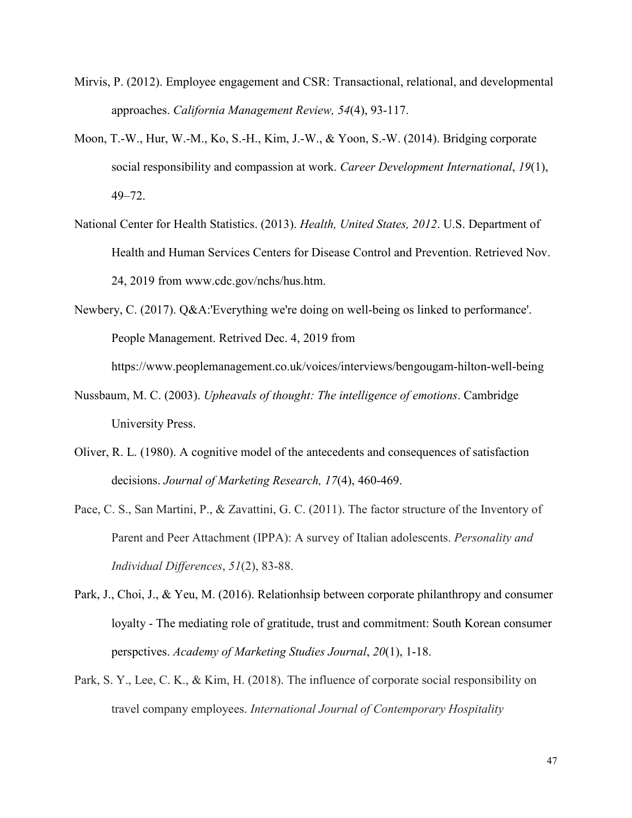- Mirvis, P. (2012). Employee engagement and CSR: Transactional, relational, and developmental approaches. *California Management Review, 54*(4), 93-117.
- Moon, T.-W., Hur, W.-M., Ko, S.-H., Kim, J.-W., & Yoon, S.-W. (2014). Bridging corporate social responsibility and compassion at work. *Career Development International*, *19*(1), 49–72.
- National Center for Health Statistics. (2013). *Health, United States, 2012*. U.S. Department of Health and Human Services Centers for Disease Control and Prevention. Retrieved Nov. 24, 2019 from www.cdc.gov/nchs/hus.htm.
- Newbery, C. (2017). Q&A:'Everything we're doing on well-being os linked to performance'. People Management. Retrived Dec. 4, 2019 from https://www.peoplemanagement.co.uk/voices/interviews/bengougam-hilton-well-being
- Nussbaum, M. C. (2003). *Upheavals of thought: The intelligence of emotions*. Cambridge University Press.
- Oliver, R. L. (1980). A cognitive model of the antecedents and consequences of satisfaction decisions. *Journal of Marketing Research, 17*(4), 460-469.
- Pace, C. S., San Martini, P., & Zavattini, G. C. (2011). The factor structure of the Inventory of Parent and Peer Attachment (IPPA): A survey of Italian adolescents. *Personality and Individual Differences*, *51*(2), 83-88.
- Park, J., Choi, J., & Yeu, M. (2016). Relationhsip between corporate philanthropy and consumer loyalty - The mediating role of gratitude, trust and commitment: South Korean consumer perspctives. *Academy of Marketing Studies Journal*, *20*(1), 1-18.
- Park, S. Y., Lee, C. K., & Kim, H. (2018). The influence of corporate social responsibility on travel company employees. *International Journal of Contemporary Hospitality*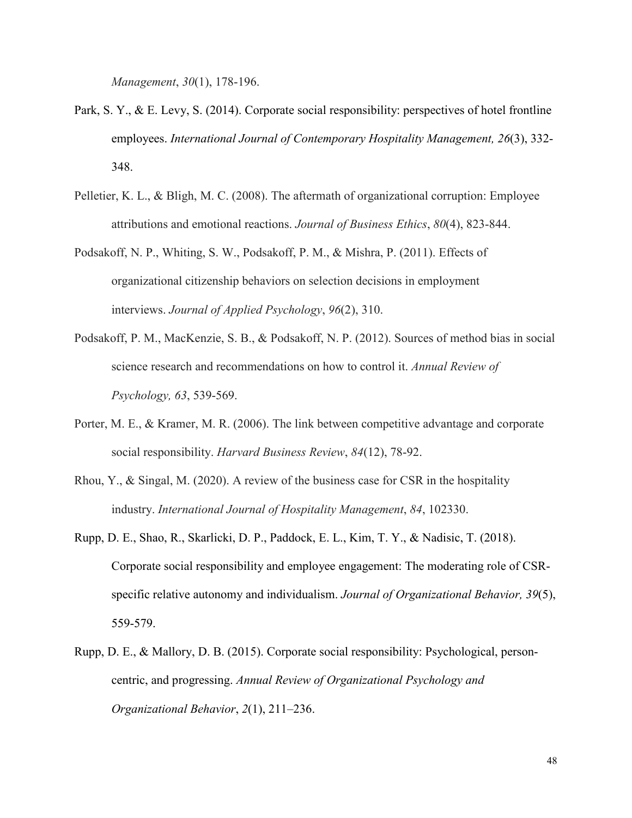*Management*, *30*(1), 178-196.

- Park, S. Y., & E. Levy, S. (2014). Corporate social responsibility: perspectives of hotel frontline employees. *International Journal of Contemporary Hospitality Management, 26*(3), 332- 348.
- Pelletier, K. L., & Bligh, M. C. (2008). The aftermath of organizational corruption: Employee attributions and emotional reactions. *Journal of Business Ethics*, *80*(4), 823-844.
- Podsakoff, N. P., Whiting, S. W., Podsakoff, P. M., & Mishra, P. (2011). Effects of organizational citizenship behaviors on selection decisions in employment interviews. *Journal of Applied Psychology*, *96*(2), 310.
- Podsakoff, P. M., MacKenzie, S. B., & Podsakoff, N. P. (2012). Sources of method bias in social science research and recommendations on how to control it. *Annual Review of Psychology, 63*, 539-569.
- Porter, M. E., & Kramer, M. R. (2006). The link between competitive advantage and corporate social responsibility. *Harvard Business Review*, *84*(12), 78-92.
- Rhou, Y., & Singal, M. (2020). A review of the business case for CSR in the hospitality industry. *International Journal of Hospitality Management*, *84*, 102330.
- Rupp, D. E., Shao, R., Skarlicki, D. P., Paddock, E. L., Kim, T. Y., & Nadisic, T. (2018). Corporate social responsibility and employee engagement: The moderating role of CSR‐ specific relative autonomy and individualism. *Journal of Organizational Behavior, 39*(5), 559-579.
- Rupp, D. E., & Mallory, D. B. (2015). Corporate social responsibility: Psychological, personcentric, and progressing. *Annual Review of Organizational Psychology and Organizational Behavior*, *2*(1), 211–236.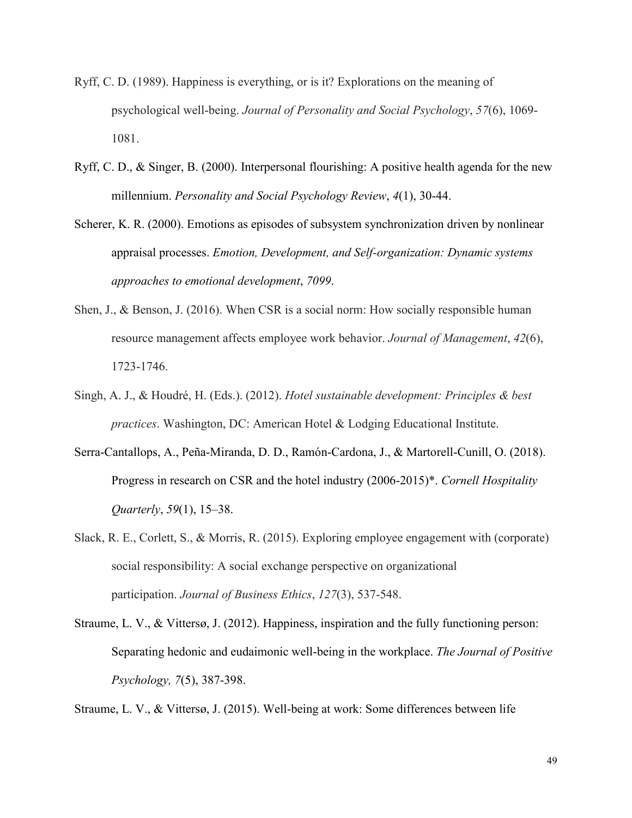- Ryff, C. D. (1989). Happiness is everything, or is it? Explorations on the meaning of psychological well-being. *Journal of Personality and Social Psychology*, *57*(6), 1069- 1081.
- Ryff, C. D., & Singer, B. (2000). Interpersonal flourishing: A positive health agenda for the new millennium. *Personality and Social Psychology Review*, *4*(1), 30-44.
- Scherer, K. R. (2000). Emotions as episodes of subsystem synchronization driven by nonlinear appraisal processes. *Emotion, Development, and Self-organization: Dynamic systems approaches to emotional development*, *7099*.
- Shen, J., & Benson, J. (2016). When CSR is a social norm: How socially responsible human resource management affects employee work behavior. *Journal of Management*, *42*(6), 1723-1746.
- Singh, A. J., & Houdré, H. (Eds.). (2012). *Hotel sustainable development: Principles & best practices*. Washington, DC: American Hotel & Lodging Educational Institute.
- Serra-Cantallops, A., Peña-Miranda, D. D., Ramón-Cardona, J., & Martorell-Cunill, O. (2018). Progress in research on CSR and the hotel industry (2006-2015)\*. *Cornell Hospitality Quarterly*, *59*(1), 15–38.
- Slack, R. E., Corlett, S., & Morris, R. (2015). Exploring employee engagement with (corporate) social responsibility: A social exchange perspective on organizational participation. *Journal of Business Ethics*, *127*(3), 537-548.
- Straume, L. V., & Vittersø, J. (2012). Happiness, inspiration and the fully functioning person: Separating hedonic and eudaimonic well-being in the workplace. *The Journal of Positive Psychology, 7*(5), 387-398.

Straume, L. V., & Vittersø, J. (2015). Well-being at work: Some differences between life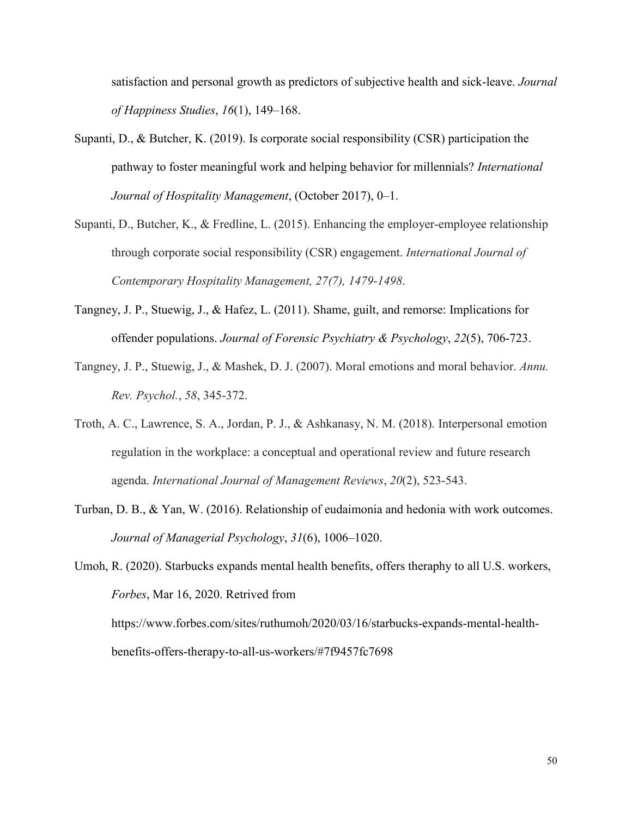satisfaction and personal growth as predictors of subjective health and sick-leave. *Journal of Happiness Studies*, *16*(1), 149–168.

- Supanti, D., & Butcher, K. (2019). Is corporate social responsibility (CSR) participation the pathway to foster meaningful work and helping behavior for millennials? *International Journal of Hospitality Management*, (October 2017), 0–1.
- Supanti, D., Butcher, K., & Fredline, L. (2015). Enhancing the employer-employee relationship through corporate social responsibility (CSR) engagement. *International Journal of Contemporary Hospitality Management, 27(7), 1479-1498*.
- Tangney, J. P., Stuewig, J., & Hafez, L. (2011). Shame, guilt, and remorse: Implications for offender populations. *Journal of Forensic Psychiatry & Psychology*, *22*(5), 706-723.
- Tangney, J. P., Stuewig, J., & Mashek, D. J. (2007). Moral emotions and moral behavior. *Annu. Rev. Psychol.*, *58*, 345-372.
- Troth, A. C., Lawrence, S. A., Jordan, P. J., & Ashkanasy, N. M. (2018). Interpersonal emotion regulation in the workplace: a conceptual and operational review and future research agenda. *International Journal of Management Reviews*, *20*(2), 523-543.
- Turban, D. B., & Yan, W. (2016). Relationship of eudaimonia and hedonia with work outcomes. *Journal of Managerial Psychology*, *31*(6), 1006–1020.

Umoh, R. (2020). Starbucks expands mental health benefits, offers theraphy to all U.S. workers, *Forbes*, Mar 16, 2020. Retrived from https://www.forbes.com/sites/ruthumoh/2020/03/16/starbucks-expands-mental-healthbenefits-offers-therapy-to-all-us-workers/#7f9457fc7698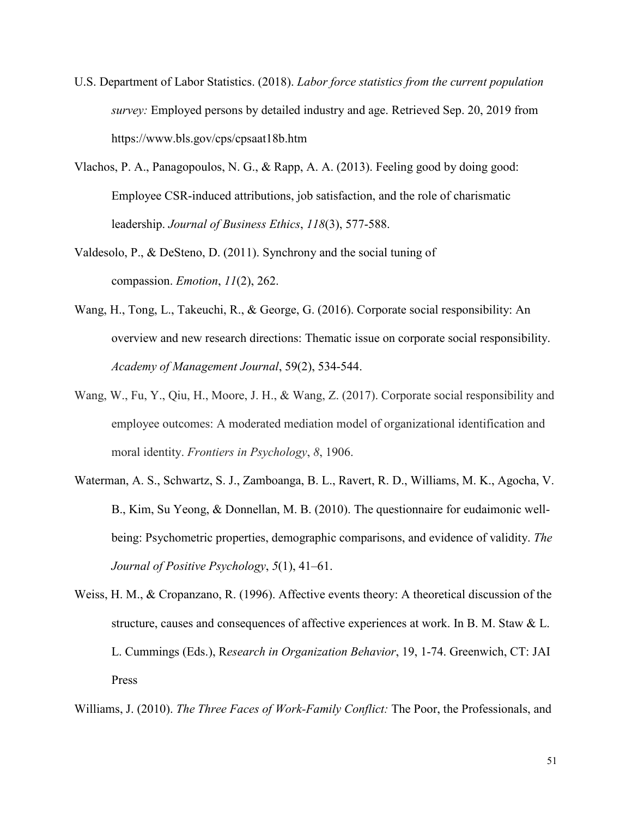- U.S. Department of Labor Statistics. (2018). *Labor force statistics from the current population survey:* Employed persons by detailed industry and age. Retrieved Sep. 20, 2019 from https://www.bls.gov/cps/cpsaat18b.htm
- Vlachos, P. A., Panagopoulos, N. G., & Rapp, A. A. (2013). Feeling good by doing good: Employee CSR-induced attributions, job satisfaction, and the role of charismatic leadership. *Journal of Business Ethics*, *118*(3), 577-588.
- Valdesolo, P., & DeSteno, D. (2011). Synchrony and the social tuning of compassion. *Emotion*, *11*(2), 262.
- Wang, H., Tong, L., Takeuchi, R., & George, G. (2016). Corporate social responsibility: An overview and new research directions: Thematic issue on corporate social responsibility. *Academy of Management Journal*, 59(2), 534-544.
- Wang, W., Fu, Y., Qiu, H., Moore, J. H., & Wang, Z. (2017). Corporate social responsibility and employee outcomes: A moderated mediation model of organizational identification and moral identity. *Frontiers in Psychology*, *8*, 1906.
- Waterman, A. S., Schwartz, S. J., Zamboanga, B. L., Ravert, R. D., Williams, M. K., Agocha, V. B., Kim, Su Yeong, & Donnellan, M. B. (2010). The questionnaire for eudaimonic wellbeing: Psychometric properties, demographic comparisons, and evidence of validity. *The Journal of Positive Psychology*, *5*(1), 41–61.
- Weiss, H. M., & Cropanzano, R. (1996). Affective events theory: A theoretical discussion of the structure, causes and consequences of affective experiences at work. In B. M. Staw & L. L. Cummings (Eds.), R*esearch in Organization Behavior*, 19, 1-74. Greenwich, CT: JAI Press

Williams, J. (2010). *The Three Faces of Work-Family Conflict:* The Poor, the Professionals, and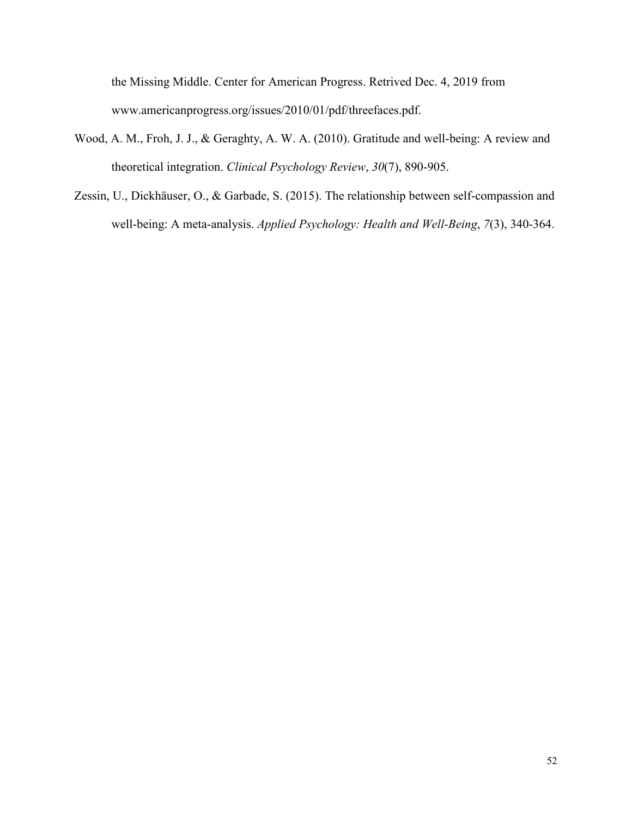the Missing Middle. Center for American Progress. Retrived Dec. 4, 2019 from www.americanprogress.org/issues/2010/01/pdf/threefaces.pdf.

- Wood, A. M., Froh, J. J., & Geraghty, A. W. A. (2010). Gratitude and well-being: A review and theoretical integration. *Clinical Psychology Review*, *30*(7), 890-905.
- Zessin, U., Dickhäuser, O., & Garbade, S. (2015). The relationship between self-compassion and well-being: A meta-analysis. *Applied Psychology: Health and Well-Being*, 7(3), 340-364.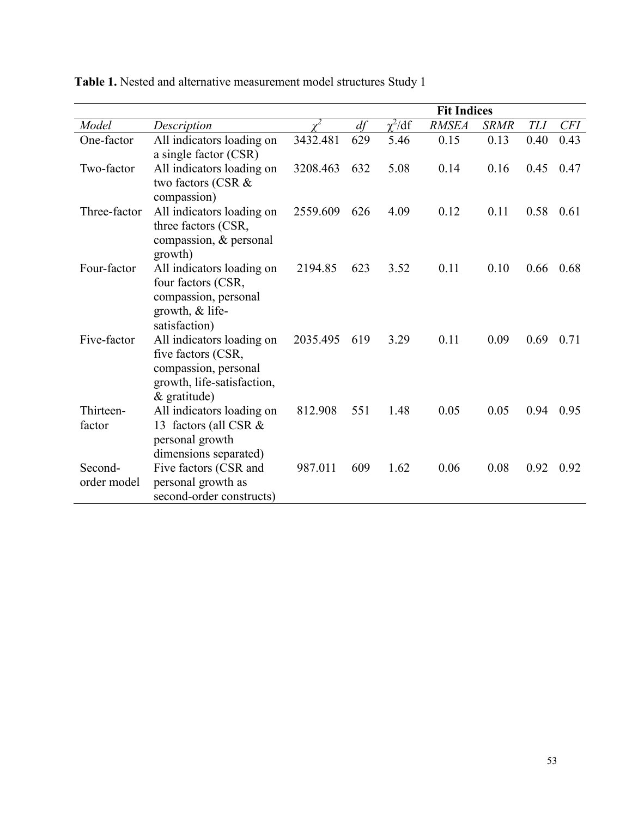|                        |                                                                                                                         |          | <b>Fit Indices</b> |             |              |             |            |            |
|------------------------|-------------------------------------------------------------------------------------------------------------------------|----------|--------------------|-------------|--------------|-------------|------------|------------|
| Model                  | Description                                                                                                             |          | df                 | $\chi^2/df$ | <b>RMSEA</b> | <b>SRMR</b> | <b>TLI</b> | <b>CFI</b> |
| One-factor             | All indicators loading on<br>a single factor (CSR)                                                                      | 3432.481 | 629                | 5.46        | 0.15         | 0.13        | 0.40       | 0.43       |
| Two-factor             | All indicators loading on<br>two factors (CSR &<br>compassion)                                                          | 3208.463 | 632                | 5.08        | 0.14         | 0.16        | 0.45       | 0.47       |
| Three-factor           | All indicators loading on<br>three factors (CSR,<br>compassion, & personal<br>growth)                                   | 2559.609 | 626                | 4.09        | 0.12         | 0.11        | 0.58       | 0.61       |
| Four-factor            | All indicators loading on<br>four factors (CSR,<br>compassion, personal<br>growth, & life-<br>satisfaction)             | 2194.85  | 623                | 3.52        | 0.11         | 0.10        | 0.66       | 0.68       |
| Five-factor            | All indicators loading on<br>five factors (CSR,<br>compassion, personal<br>growth, life-satisfaction,<br>$&$ gratitude) | 2035.495 | 619                | 3.29        | 0.11         | 0.09        | 0.69       | 0.71       |
| Thirteen-<br>factor    | All indicators loading on<br>13 factors (all CSR &<br>personal growth<br>dimensions separated)                          | 812.908  | 551                | 1.48        | 0.05         | 0.05        | 0.94       | 0.95       |
| Second-<br>order model | Five factors (CSR and<br>personal growth as<br>second-order constructs)                                                 | 987.011  | 609                | 1.62        | 0.06         | 0.08        | 0.92       | 0.92       |

**Table 1.** Nested and alternative measurement model structures Study 1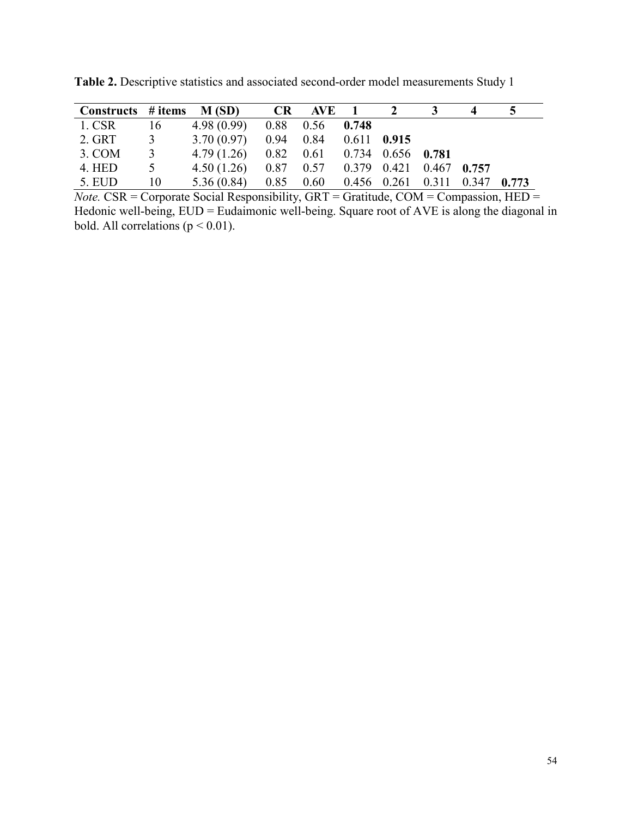| Constructs # items $M(SD)$ |                         |                                                        | CR AVE 1 2 3 |  | 4 | $5^{\circ}$ |
|----------------------------|-------------------------|--------------------------------------------------------|--------------|--|---|-------------|
| 1. CSR 16                  |                         | $4.98(0.99)$ $0.88$ $0.56$ $0.748$                     |              |  |   |             |
| 2. GRT 3                   |                         | $3.70(0.97)$ $0.94$ $0.84$ $0.611$ $0.915$             |              |  |   |             |
| 3. COM                     | $\overline{\mathbf{3}}$ | 4.79 (1.26) $0.82$ $0.61$ $0.734$ $0.656$ <b>0.781</b> |              |  |   |             |
| 4. HED                     | $5\overline{)}$         | 4.50 (1.26) 0.87 0.57 0.379 0.421 0.467 0.757          |              |  |   |             |
| 5. EUD                     | 10                      | 5.36 (0.84) 0.85 0.60 0.456 0.261 0.311 0.347 0.773    |              |  |   |             |

**Table 2.** Descriptive statistics and associated second-order model measurements Study 1

*Note.* CSR = Corporate Social Responsibility, GRT = Gratitude, COM = Compassion, HED = Hedonic well-being, EUD = Eudaimonic well-being. Square root of AVE is along the diagonal in bold. All correlations ( $p < 0.01$ ).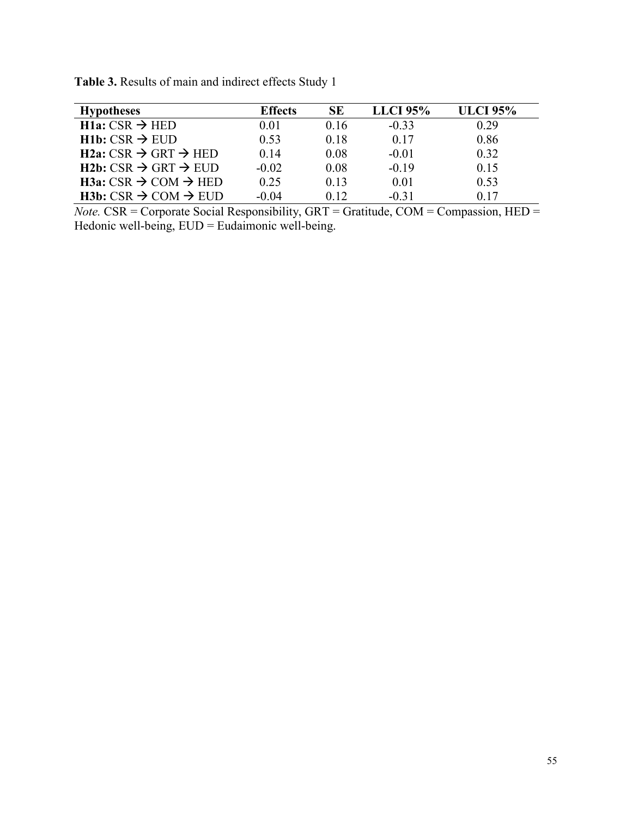| <b>Hypotheses</b>                          | <b>Effects</b> | SЕ   | <b>LLCI</b> 95% | <b>ULCI 95%</b> |
|--------------------------------------------|----------------|------|-----------------|-----------------|
| $H1a: CSR \rightarrow HED$                 | 0.01           | 0.16 | $-0.33$         | 0.29            |
| $H1b: CSR \rightarrow EUD$                 | 0.53           | 0.18 | 0.17            | 0.86            |
| $H2a: CSR \rightarrow GRT \rightarrow HED$ | 0.14           | 0.08 | $-0.01$         | 0.32            |
| $H2b: CSR \rightarrow GRT \rightarrow EUD$ | $-0.02$        | 0.08 | $-0.19$         | 0.15            |
| $H3a: CSR \rightarrow COM \rightarrow HED$ | 0.25           | 0.13 | 0.01            | 0.53            |
| $H3b: CSR \rightarrow COM \rightarrow EUD$ | $-0.04$        | 0.12 | $-0.31$         | 0.17            |

**Table 3.** Results of main and indirect effects Study 1

*Note.* CSR = Corporate Social Responsibility, GRT = Gratitude, COM = Compassion, HED = Hedonic well-being, EUD = Eudaimonic well-being.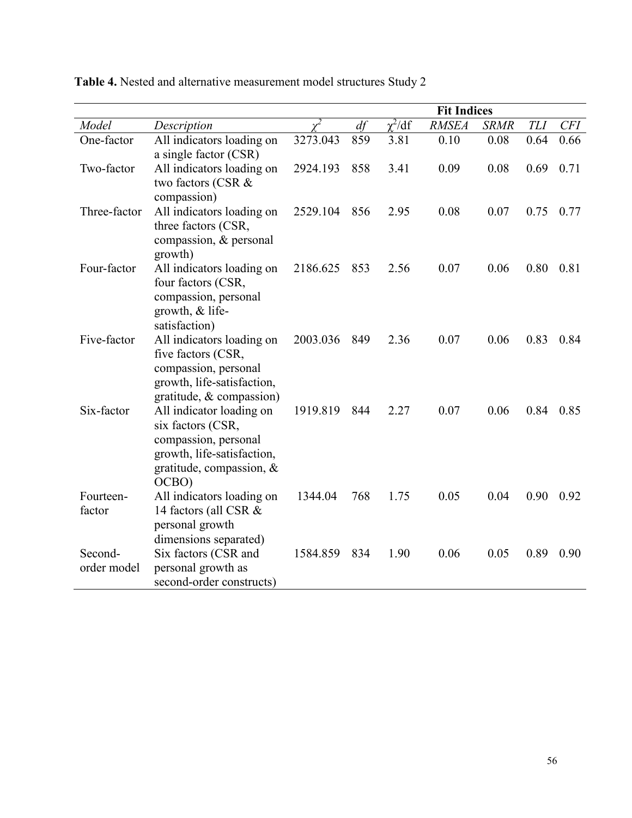|                        |                                                                                                                                          |          | <b>Fit Indices</b> |             |              |             |            |            |
|------------------------|------------------------------------------------------------------------------------------------------------------------------------------|----------|--------------------|-------------|--------------|-------------|------------|------------|
| Model                  | Description                                                                                                                              |          | df                 | $\chi^2/df$ | <b>RMSEA</b> | <b>SRMR</b> | <b>TLI</b> | <b>CFI</b> |
| One-factor             | All indicators loading on<br>a single factor (CSR)                                                                                       | 3273.043 | 859                | 3.81        | 0.10         | 0.08        | 0.64       | 0.66       |
| Two-factor             | All indicators loading on<br>two factors (CSR &<br>compassion)                                                                           | 2924.193 | 858                | 3.41        | 0.09         | 0.08        | 0.69       | 0.71       |
| Three-factor           | All indicators loading on<br>three factors (CSR,<br>compassion, & personal<br>growth)                                                    | 2529.104 | 856                | 2.95        | 0.08         | 0.07        | 0.75       | 0.77       |
| Four-factor            | All indicators loading on<br>four factors (CSR,<br>compassion, personal<br>growth, & life-<br>satisfaction)                              | 2186.625 | 853                | 2.56        | 0.07         | 0.06        | 0.80       | 0.81       |
| Five-factor            | All indicators loading on<br>five factors (CSR,<br>compassion, personal<br>growth, life-satisfaction,<br>gratitude, & compassion)        | 2003.036 | 849                | 2.36        | 0.07         | 0.06        | 0.83       | 0.84       |
| Six-factor             | All indicator loading on<br>six factors (CSR,<br>compassion, personal<br>growth, life-satisfaction,<br>gratitude, compassion, &<br>OCBO) | 1919.819 | 844                | 2.27        | 0.07         | 0.06        | 0.84       | 0.85       |
| Fourteen-<br>factor    | All indicators loading on<br>14 factors (all CSR &<br>personal growth<br>dimensions separated)                                           | 1344.04  | 768                | 1.75        | 0.05         | 0.04        | 0.90       | 0.92       |
| Second-<br>order model | Six factors (CSR and<br>personal growth as<br>second-order constructs)                                                                   | 1584.859 | 834                | 1.90        | 0.06         | 0.05        | 0.89       | 0.90       |

**Table 4.** Nested and alternative measurement model structures Study 2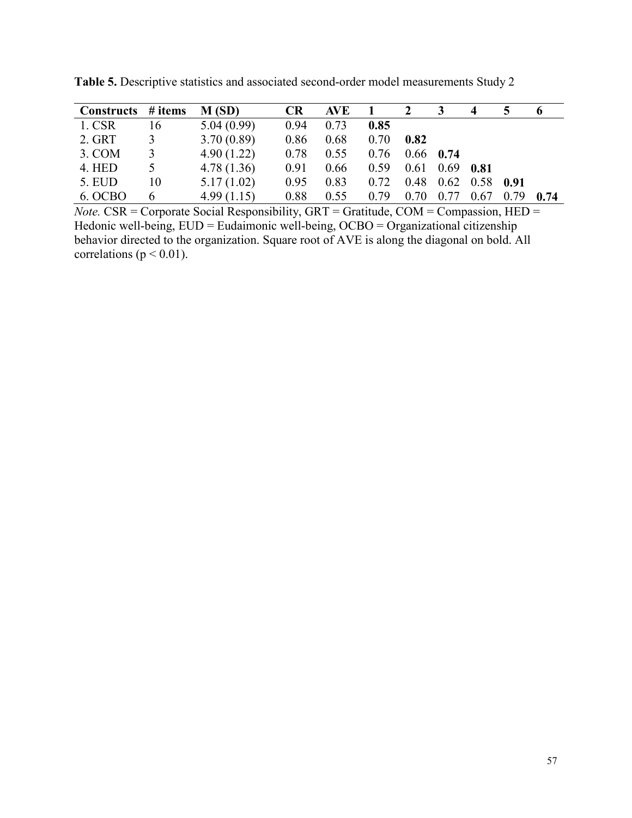| Constructs # items |    | M(SD)      | <b>CR</b> | <b>AVE</b> |      | 2                |             |                              |      | o    |
|--------------------|----|------------|-----------|------------|------|------------------|-------------|------------------------------|------|------|
| 1. CSR             | 16 | 5.04(0.99) | 0.94      | 0.73       | 0.85 |                  |             |                              |      |      |
| 2. GRT             | 3  | 3.70(0.89) | 0.86      | 0.68       | 0.70 | 0.82             |             |                              |      |      |
| $3. \text{COM}$    | 3  | 4.90(1.22) | 0.78      | 0.55       | 0.76 |                  | $0.66$ 0.74 |                              |      |      |
| 4. HED             |    | 4.78(1.36) | 0.91      | 0.66       | 0.59 | $0.61$ 0.69 0.81 |             |                              |      |      |
| 5. EUD             | 10 | 5.17(1.02) | 0.95      | 0.83       | 0.72 | 0.48             |             | $0.62 \quad 0.58 \quad 0.91$ |      |      |
| 6. OCBO            | 6  | 4.99(1.15) | 0.88      | 0.55       | 0.79 | 0.70             | 0.77        | 0.67                         | 0.79 | 0.74 |

**Table 5.** Descriptive statistics and associated second-order model measurements Study 2

*Note.* CSR = Corporate Social Responsibility, GRT = Gratitude, COM = Compassion, HED = Hedonic well-being, EUD = Eudaimonic well-being, OCBO = Organizational citizenship behavior directed to the organization. Square root of AVE is along the diagonal on bold. All correlations ( $p < 0.01$ ).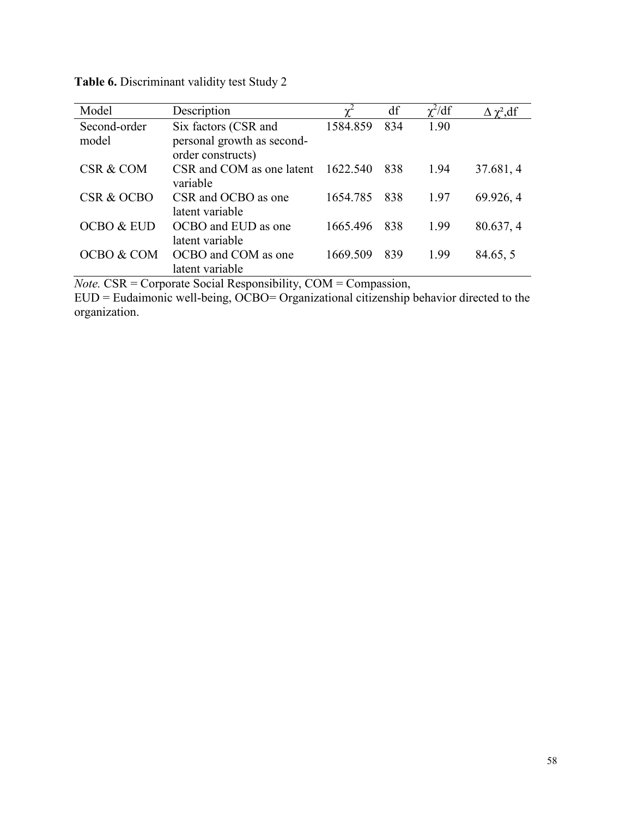| Model                 | Description                | $\mathbf{v}^2$ | df  | $\chi^2/df$ | $\Delta \chi^2$ , df |
|-----------------------|----------------------------|----------------|-----|-------------|----------------------|
| Second-order          | Six factors (CSR and       | 1584.859       | 834 | 1.90        |                      |
| model                 | personal growth as second- |                |     |             |                      |
|                       | order constructs)          |                |     |             |                      |
| CSR & COM             | CSR and COM as one latent  | 1622.540       | 838 | 1.94        | 37.681, 4            |
|                       | variable                   |                |     |             |                      |
| CSR & OCBO            | CSR and OCBO as one        | 1654.785       | 838 | 1.97        | 69.926, 4            |
|                       | latent variable            |                |     |             |                      |
| <b>OCBO &amp; EUD</b> | OCBO and EUD as one        | 1665.496       | 838 | 1.99        | 80.637, 4            |
|                       | latent variable            |                |     |             |                      |
| OCBO & COM            | OCBO and COM as one        | 1669.509       | 839 | 1.99        | 84.65, 5             |
|                       | latent variable            |                |     |             |                      |

**Table 6.** Discriminant validity test Study 2

*Note.* CSR = Corporate Social Responsibility, COM = Compassion,

EUD = Eudaimonic well-being, OCBO= Organizational citizenship behavior directed to the organization.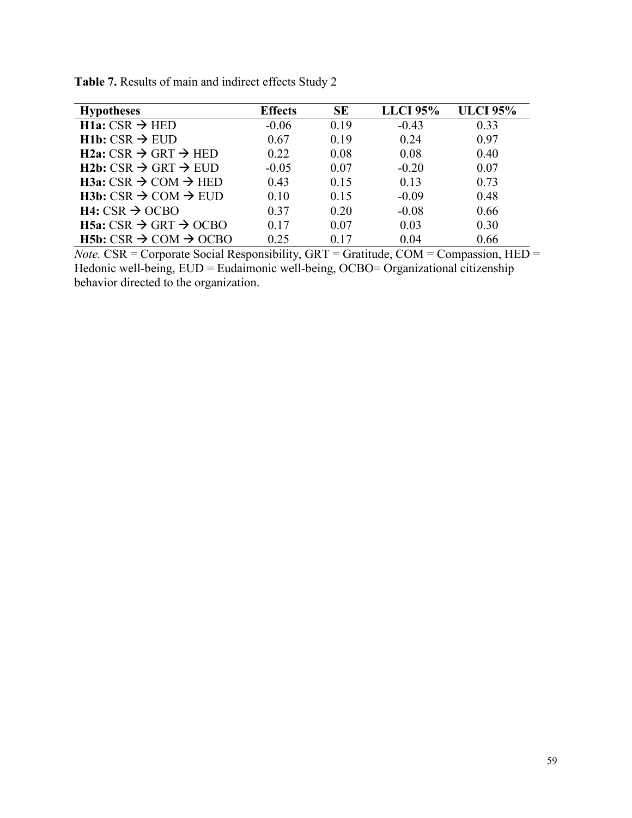| <b>Hypotheses</b>                               | <b>Effects</b> | <b>SE</b> | <b>LLCI 95%</b> | <b>ULCI</b> 95% |
|-------------------------------------------------|----------------|-----------|-----------------|-----------------|
| $H1a: CSR \rightarrow HED$                      | $-0.06$        | 0.19      | $-0.43$         | 0.33            |
| $H1b: CSR \rightarrow EUD$                      | 0.67           | 0.19      | 0.24            | 0.97            |
| $H2a: CSR \rightarrow GRT \rightarrow HED$      | 0.22           | 0.08      | 0.08            | 0.40            |
| $H2b: CSR \rightarrow GRT \rightarrow EUD$      | $-0.05$        | 0.07      | $-0.20$         | 0.07            |
| $H3a: CSR \rightarrow COM \rightarrow HED$      | 0.43           | 0.15      | 0.13            | 0.73            |
| $H3b: CSR \rightarrow COM \rightarrow EUD$      | 0.10           | 0.15      | $-0.09$         | 0.48            |
| $H4: CSR \rightarrow OCBO$                      | 0.37           | 0.20      | $-0.08$         | 0.66            |
| H5a: $CSR$ $\rightarrow$ GRT $\rightarrow$ OCBO | 0.17           | 0.07      | 0.03            | 0.30            |
| $H5b: CSR \rightarrow COM \rightarrow OCBO$     | 0.25           | 0.17      | 0.04            | 0.66            |

**Table 7.** Results of main and indirect effects Study 2

*Note.* CSR = Corporate Social Responsibility, GRT = Gratitude, COM = Compassion, HED = Hedonic well-being, EUD = Eudaimonic well-being, OCBO= Organizational citizenship behavior directed to the organization.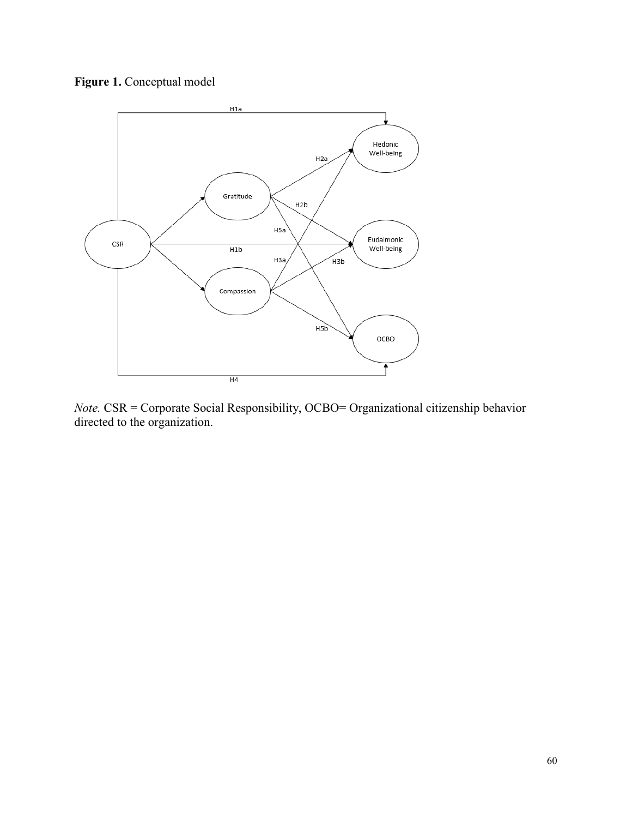



*Note.* CSR = Corporate Social Responsibility, OCBO= Organizational citizenship behavior directed to the organization.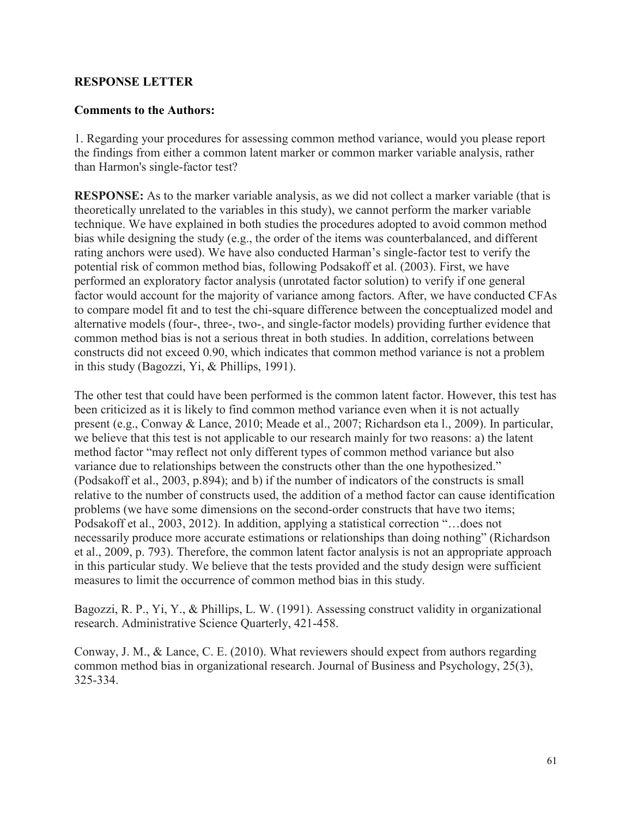# **RESPONSE LETTER**

# **Comments to the Authors:**

1. Regarding your procedures for assessing common method variance, would you please report the findings from either a common latent marker or common marker variable analysis, rather than Harmon's single-factor test?

**RESPONSE:** As to the marker variable analysis, as we did not collect a marker variable (that is theoretically unrelated to the variables in this study), we cannot perform the marker variable technique. We have explained in both studies the procedures adopted to avoid common method bias while designing the study (e.g., the order of the items was counterbalanced, and different rating anchors were used). We have also conducted Harman's single-factor test to verify the potential risk of common method bias, following Podsakoff et al. (2003). First, we have performed an exploratory factor analysis (unrotated factor solution) to verify if one general factor would account for the majority of variance among factors. After, we have conducted CFAs to compare model fit and to test the chi-square difference between the conceptualized model and alternative models (four-, three-, two-, and single-factor models) providing further evidence that common method bias is not a serious threat in both studies. In addition, correlations between constructs did not exceed 0.90, which indicates that common method variance is not a problem in this study (Bagozzi, Yi, & Phillips, 1991).

The other test that could have been performed is the common latent factor. However, this test has been criticized as it is likely to find common method variance even when it is not actually present (e.g., Conway & Lance, 2010; Meade et al., 2007; Richardson eta l., 2009). In particular, we believe that this test is not applicable to our research mainly for two reasons: a) the latent method factor "may reflect not only different types of common method variance but also variance due to relationships between the constructs other than the one hypothesized." (Podsakoff et al., 2003, p.894); and b) if the number of indicators of the constructs is small relative to the number of constructs used, the addition of a method factor can cause identification problems (we have some dimensions on the second-order constructs that have two items; Podsakoff et al., 2003, 2012). In addition, applying a statistical correction "…does not necessarily produce more accurate estimations or relationships than doing nothing" (Richardson et al., 2009, p. 793). Therefore, the common latent factor analysis is not an appropriate approach in this particular study. We believe that the tests provided and the study design were sufficient measures to limit the occurrence of common method bias in this study.

Bagozzi, R. P., Yi, Y., & Phillips, L. W. (1991). Assessing construct validity in organizational research. Administrative Science Quarterly, 421-458.

Conway, J. M., & Lance, C. E. (2010). What reviewers should expect from authors regarding common method bias in organizational research. Journal of Business and Psychology, 25(3), 325-334.